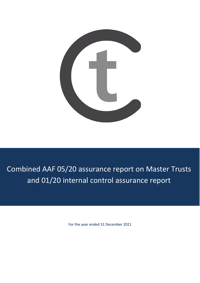

# Combined AAF 05/20 assurance report on Master Trusts and 01/20 internal control assurance report

For the year ended 31 December 2021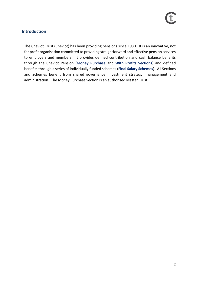### **Introduction**

The Cheviot Trust (Cheviot) has been providing pensions since 1930. It is an innovative, not for profit organisation committed to providing straightforward and effective pension services to employers and members. It provides defined contribution and cash balance benefits through the Cheviot Pension (**Money Purchase** and **With Profits Sections**) and defined benefits through a series of individually funded schemes (**Final Salary Schemes**). All Sections and Schemes benefit from shared governance, investment strategy, management and administration. The Money Purchase Section is an authorised Master Trust.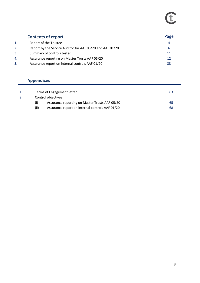# E

| <b>Contents of report</b> |                                                           | Page |  |
|---------------------------|-----------------------------------------------------------|------|--|
| 1.                        | Report of the Trustee                                     | 4    |  |
| 2.                        | Report by the Service Auditor for AAF 05/20 and AAF 01/20 | 6    |  |
| 3.                        | Summary of controls tested                                | 11   |  |
| 4.                        | Assurance reporting on Master Trusts AAF 05/20            | 12   |  |
| 5.                        | Assurance report on internal controls AAF 01/20           | 33   |  |

## **Appendices**

|    |      | 63                                               |     |
|----|------|--------------------------------------------------|-----|
| 2. |      | Terms of Engagement letter<br>Control objectives |     |
|    |      | Assurance reporting on Master Trusts AAF 05/20   | -65 |
|    | (ii) | Assurance report on internal controls AAF 01/20  | 68  |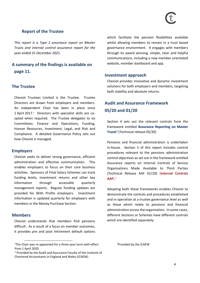### **Report of the Trustee**

*This report is a Type 2 assurance report on Master Trusts and internal control assurance report for the year ended 31 December 2021.* 

### **A summary of the findings is available on page 11.**

### **The Trustee**

Cheviot Trustees Limited is the Trustee. Trustee Directors are drawn from employers and members. An independent Chair has been in place since 1 April 2017. $\frac{1}{1}$  Directors with specialist skills are coopted when required. The Trustee delegates to six Committees: Finance and Operations, Funding, Human Resources, Investment, Legal, and Risk and Compliance. A detailed Governance Policy sets out how Cheviot is managed.

### **Employers**

Cheviot seeks to deliver strong governance, efficient administration and effective communication. This enables employers to focus on their core business activities. Sponsors of Final Salary Schemes can track funding levels, investment returns and other key information through accessible quarterly management reports. Regular funding updates are provided for With Profits employers. Investment information is updated quarterly for employers with members in the Money Purchase Section.

### **Members**

Cheviot understands that members find pensions difficult. As a result of a focus on member outcomes, it provides pre and post retirement default options which facilitate the pension flexibilities available whilst allowing members to remain in a trust based governance environment. It engages with members through its award winning, simple, clear and helpful communications, including a new member orientated website, member dashboard and app.

### **Investment approach**

Cheviot provides innovative and dynamic investment solutions for both employers and members, targeting both stability and absolute returns.

### **Audit and Assurance Framework 05/20 and 01/20**

Section 4 sets out the relevant controls from the framework entitled **Assurance Reporting on Master Trusts<sup>2</sup>** (Technical release 05/20)

Pensions and financial administration is undertaken in-house. Section 5 of this report includes control procedures relevant to the pensions administration control objectives as set out in the framework entitled Assurance reports on Internal Controls of Service Organisations Made Available to Third Parties (Technical Release AAF 01/20) (**Internal Controls AAF**). 3

Adopting both these frameworks enables Cheviot to demonstrate the controls and procedures established and in operation at a trustee governance level as well as those which relate to pensions and financial administration across the organisation. In some cases, different Sections or Schemes have different controls which are identified separately.

<sup>3</sup>Provided by the ICAEW

<sup>&</sup>lt;sup>1</sup>The Chair was re-appointed for a three-year term with effect from 1 April 2020.

<sup>2</sup> Provided by the Audit and Assurance Faculty of the Institute of Chartered Accountants in England and Wales (ICAEW).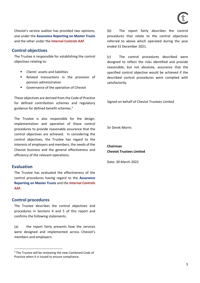Cheviot's service auditor has provided two opinions, one under the **Assurance Reporting on Master Trusts**  and the other under the **Internal Controls AAF**.

### **Control objectives**

The Trustee is responsible for establishing the control objectives relating to:

- Clients' assets and liabilities
- Related transactions in the provision of pension administration
- Governance of the operation of Cheviot

These objectives are derived from the Code of Practice for defined contribution schemes and regulatory guidance for defined benefit schemes. 4

The Trustee is also responsible for the design, implementation and operation of those control procedures to provide reasonable assurance that the control objectives are achieved. In considering the control objectives, the Trustee has regard to the interests of employers and members, the needs of the Cheviot business and the general effectiveness and efficiency of the relevant operations.

### **Evaluation**

The Trustee has evaluated the effectiveness of the control procedures having regard to the **Assurance Reporting on Master Trusts** and the **Internal Controls AAF.**

### **Control procedures**

The Trustee describes the control objectives and procedures in Sections 4 and 5 of this report and confirms the following statements.

(a) the report fairly presents how the services were designed and implemented across Cheviot's members and employers.

(b) The report fairly describes the control procedures that relate to the control objectives referred to above which operated during the year ended 31 December 2021.

(c) The control procedures described were designed to reflect the risks identified and provide reasonable, but not absolute, assurance that the specified control objective would be achieved if the described control procedures were complied with satisfactorily.

Signed on behalf of Cheviot Trustees Limited

Sir Derek Morris

**Chairman Cheviot Trustees Limited**

Date: 30 March 2022

<sup>&</sup>lt;sup>4</sup> The Trustee will be reviewing the new Combined Code of Practice when it is issued to ensure compliance.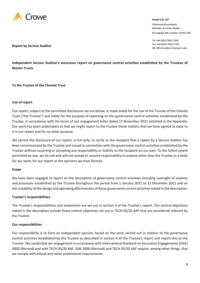

### **Crowe U.K. LLP**

*Chartered Accountants* Member of Crowe Global 55 Ludgate Hill, London, EC4M 7JW

Tel +44 (0)20 7842 7100 Fax +44 (0)20 7583 1720 DX: 0014 London Chancery Lane

**Report by Service Auditor**

**Independent Service Auditor's assurance report on governance control activities established by the Trustees of Master Trusts**

**To the Trustee of the Cheviot Trust**

### **Use of report**

Our report, subject to the permitted disclosures set out below, is made solely for the use of the Trustee of the Cheviot Trust ("the Trustee") and solely for the purpose of reporting on the governance control activities established by the Trustee, in accordance with the terms of our engagement letter dated 15 November 2021 attached in the Appendix. Our work has been undertaken so that we might report to the Trustee those matters that we have agreed to state to it in our report and for no other purpose.

We permit the disclosure of our report, in full only, to verify to the recipient that a report by a Service Auditor has been commissioned by the Trustee and issued in connection with the governance control activities established by the Trustee without assuming or accepting any responsibility or liability to the recipient on our part. To the fullest extent permitted by law, we do not and will not accept or assume responsibility to anyone other than the Trustee as a body for our work, for our report or the opinions we have formed.

### **Scope**

We have been engaged to report on the description of governance control activities including oversight of systems and processes established by the Trustee throughout the period from 1 January 2021 to 31 December 2021 and on the suitability of the design and operating effectiveness of those governance control activities stated in the description.

### **Trustee's responsibilities**

The Trustee's responsibilities and statements are set out in section 4 of the Trustee's report. The control objectives stated in the description include those control objectives set out in TECH 05/20 AAF that are considered relevant by the Trustee.

### **Our responsibilities**

Our responsibility is to form an independent opinion, based on the work carried out in relation to the governance control activities established by the Trustee as described in section 4 of the Trustee's report and report this to the Trustee. We conducted our engagement in accordance with International Standard on Assurance Engagements (ISAE) 3000 (Revised) and with TECH 05/20 AAF. ISAE 3000 (Revised) and TECH 05/20 AAF require, among other things, that we comply with ethical and other professional requirements.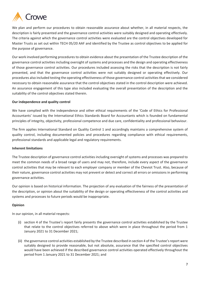

We plan and perform our procedures to obtain reasonable assurance about whether, in all material respects, the description is fairly presented and the governance control activities were suitably designed and operating effectively. The criteria against which the governance control activities were evaluated are the control objectives developed for Master Trusts as set out within TECH 05/20 AAF and identified by the Trustee as control objectives to be applied for the purpose of governance.

Our work involved performing procedures to obtain evidence about the presentation of the Trustee description of the governance control activities including oversight of systems and processes and the design and operating effectiveness of those governance control activities. Our procedures included assessing the risks that the description is not fairly presented, and that the governance control activities were not suitably designed or operating effectively. Our procedures also included testing the operating effectiveness of those governance control activities that we considered necessary to obtain reasonable assurance that the control objectives stated in the control description were achieved. An assurance engagement of this type also included evaluating the overall presentation of the description and the suitability of the control objectives stated therein.

### **Our independence and quality control**

We have complied with the independence and other ethical requirements of the 'Code of Ethics for Professional Accountants' issued by the International Ethics Standards Board for Accountants which is founded on fundamental principles of integrity, objectivity, professional competence and due care, confidentiality and professional behaviour.

The firm applies International Standard on Quality Control 1 and accordingly maintains a comprehensive system of quality control, including documented policies and procedures regarding compliance with ethical requirements, professional standards and applicable legal and regulatory requirements.

### **Inherent limitations**

The Trustee description of governance control activities including oversight of systems and processes was prepared to meet the common needs of a broad range of users and may not, therefore, include every aspect of the governance control activities that may be relevant to each employer company or member of the Cheviot Trust. Also, because of their nature, governance control activities may not prevent or detect and correct all errors or omissions in performing governance activities.

Our opinion is based on historical information. The projection of any evaluation of the fairness of the presentation of the description, or opinion about the suitability of the design or operating effectiveness of the control activities and systems and processes to future periods would be inappropriate.

### **Opinion**

In our opinion, in all material respects:

- (i) section 4 of the Trustee's report fairly presents the governance control activities established by the Trustee that relate to the control objectives referred to above which were in place throughout the period from 1 January 2021 to 31 December 2021;
- (ii) the governance control activities established by the Trustee described in section 4 of the Trustee's report were suitably designed to provide reasonable, but not absolute, assurance that the specified control objectives would have been achieved if the described governance control activities operated effectively throughout the period from 1 January 2021 to 31 December 2021; and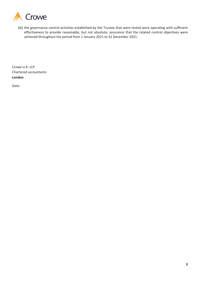

(iii) the governance control activities established by the Trustee that were tested were operating with sufficient effectiveness to provide reasonable, but not absolute, assurance that the related control objectives were achieved throughout the period from 1 January 2021 to 31 December 2021.

Crowe U.K. LLP Chartered accountants **London**

Date: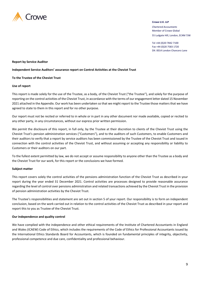

### **Crowe U.K. LLP**

*Chartered Accountants* Member of Crowe Global

55 Ludgate Hill, London, EC4M 7JW

Tel +44 (0)20 7842 7100 Fax +44 (0)20 7583 1720 DX: 0014 London Chancery Lane

### **Report by Service Auditor**

### **Independent Service Auditors' assurance report on Control Activities at the Cheviot Trust**

### **To the Trustee of the Cheviot Trust**

### **Use of report**

This report is made solely for the use of the Trustee, as a body, of the Cheviot Trust ("the Trustee"), and solely for the purpose of reporting on the control activities of the Cheviot Trust, in accordance with the terms of our engagement letter dated 15 November 2021 attached in the Appendix. Our work has been undertaken so that we might report to the Trustee those matters that we have agreed to state to them in this report and for no other purpose.

Our report must not be recited or referred to in whole or in part in any other document nor made available, copied or recited to any other party, in any circumstances, without our express prior written permission.

We permit the disclosure of this report, in full only, by the Trustee at their discretion to clients of the Cheviot Trust using the Cheviot Trust's pension administration services ("Customers"), and to the auditors of such Customers, to enable Customers and their auditors to verify that a report by service auditors has been commissioned by the Trustee of the Cheviot Trust and issued in connection with the control activities of the Cheviot Trust, and without assuming or accepting any responsibility or liability to Customers or their auditors on our part.

To the fullest extent permitted by law, we do not accept or assume responsibility to anyone other than the Trustee as a body and the Cheviot Trust for our work, for this report or the conclusions we have formed.

### **Subject matter**

This report covers solely the control activities of the pensions administration function of the Cheviot Trust as described in your report during the year ended 31 December 2021. Control activities are processes designed to provide reasonable assurance regarding the level of control over pensions administration and related transactions achieved by the Cheviot Trust in the provision of pension administration activities by the Cheviot Trust.

The Trustee's responsibilities and statement are set out in section 5 of your report. Our responsibility is to form an independent conclusion, based on the work carried out in relation to the control activities of the Cheviot Trust as described in your report and report this to you as Trustee of the Cheviot Trust.

### **Our independence and quality control**

We have complied with the independence and other ethical requirements of the Institute of Chartered Accountants in England and Wales (ICAEW) Code of Ethics, which includes the requirements of the Code of Ethics for Professional Accountants issued by the International Ethics Standards Board for Accountants, which is founded on fundamental principles of integrity, objectivity, professional competence and due care, confidentiality and professional behaviour.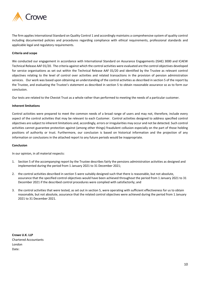

The firm applies International Standard on Quality Control 1 and accordingly maintains a comprehensive system of quality control including documented policies and procedures regarding compliance with ethical requirements, professional standards and applicable legal and regulatory requirements.

### **Criteria and scope**

We conducted our engagement in accordance with International Standard on Assurance Engagements (ISAE) 3000 and ICAEW Technical Release AAF 01/20. The criteria against which the control activities were evaluated are the control objectives developed for service organisations as set out within the Technical Release AAF 01/20 and identified by the Trustee as relevant control objectives relating to the level of control over activities and related transactions in the provision of pension administration services. Our work was based upon obtaining an understanding of the control activities as described in section 5 of the report by the Trustee, and evaluating the Trustee's statement as described in section 5 to obtain reasonable assurance so as to form our conclusion.

Our tests are related to the Cheviot Trust as a whole rather than performed to meeting the needs of a particular customer.

### **Inherent limitations**

Control activities were prepared to meet the common needs of a broad range of users and may not, therefore, include every aspect of the control activities that may be relevant to each Customer. Control activities designed to address specified control objectives are subject to inherent limitations and, accordingly, errors or irregularities may occur and not be detected. Such control activities cannot guarantee protection against (among other things) fraudulent collusion especially on the part of those holding positions of authority or trust. Furthermore, our conclusion is based on historical information and the projection of any information or conclusions in the attached report to any future periods would be inappropriate.

### **Conclusion**

In our opinion, in all material respects:

- 1. Section 5 of the accompanying report by the Trustee describes fairly the pensions administration activities as designed and implemented during the period from 1 January 2021 to 31 December 2021;
- 2. the control activities described in section 5 were suitably designed such that there is reasonable, but not absolute, assurance that the specified control objectives would have been achieved throughout the period from 1 January 2021 to 31 December 2021 if the described control procedures were complied with satisfactorily; and
- 3. the control activities that were tested, as set out in section 5, were operating with sufficient effectiveness for us to obtain reasonable, but not absolute, assurance that the related control objectives were achieved during the period from 1 January 2021 to 31 December 2021.

**Crowe U.K. LLP** Chartered Accountants London Date: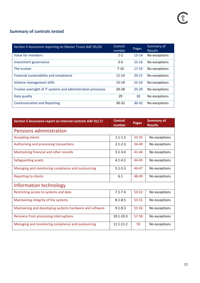### **Summary of controls tested**

| Section 4 Assurance reporting on Master Trusts AAF 05/20     | Control<br>number | Pages     | Summary of<br><b>Results</b> |
|--------------------------------------------------------------|-------------------|-----------|------------------------------|
| Value for members                                            | $1 - 2$           | $13 - 14$ | No exceptions                |
| Investment governance                                        | $3-6$             | $15 - 16$ | No exceptions                |
| The trustee                                                  | $7 - 10$          | $17-19$   | No exceptions                |
| Financial sustainability and compliance                      | $11 - 14$         | $20 - 21$ | No exceptions                |
| Scheme management skills                                     | $15 - 19$         | $22 - 24$ | No exceptions                |
| Trustee oversight of IT systems and administration processes | $20 - 28$         | $25 - 29$ | No exceptions                |
| Data quality                                                 | 29                | 30        | No exceptions                |
| <b>Communication and Reporting</b>                           | $30 - 32$         | $30 - 32$ | No exceptions                |

| Section 5 Assurance report on internal controls AAF 01/20 | <b>Control</b><br>number | <b>Pages</b> | <b>Summary of</b><br><b>Results</b> |  |
|-----------------------------------------------------------|--------------------------|--------------|-------------------------------------|--|
| <b>Pensions administration</b>                            |                          |              |                                     |  |
| <b>Accepting clients</b>                                  | $1.1 - 1.3$              | $33 - 35$    | No exceptions                       |  |
| Authorising and processing transactions                   | $2.1 - 2.3$              | $36 - 40$    | No exceptions                       |  |
| Maintaining financial and other records                   | $3.1 - 3.4$              | $41 - 44$    | No exceptions                       |  |
| Safeguarding assets                                       | $4.1 - 4.2$              | 44-45        | No exceptions                       |  |
| Managing and monitoring compliance and outsourcing        | $5.1 - 5.3$              | 46-47        | No exceptions                       |  |
| <b>Reporting to clients</b>                               | 6.1                      | 48-49        | No exceptions                       |  |
| Information technology                                    |                          |              |                                     |  |
| Restricting access to systems and data                    | $7.1 - 7.4$              | $50 - 52$    | No exceptions                       |  |
| Maintaining integrity of the systems                      | $8.1 - 8.5$              | 53-55        | No exceptions                       |  |
| Maintaining and developing systems hardware and software  | $9.1 - 9.3$              | 55-56        | No exceptions                       |  |
| Recovery from processing interruptions                    | $10.1 - 10.3$            | 57-58        | No exceptions                       |  |
| Managing and monitoring compliance and outsourcing        | $11.1 - 11.2$            | 59           | No exceptions                       |  |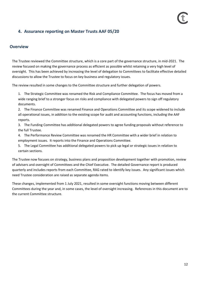### **4. Assurance reporting on Master Trusts AAF 05/20**

### **Overview**

The Trustee reviewed the Committee structure, which is a core part of the governance structure, in mid-2021. The review focused on making the governance process as efficient as possible whilst retaining a very high level of oversight. This has been achieved by increasing the level of delegation to Committees to facilitate effective detailed discussions to allow the Trustee to focus on key business and regulatory issues.

The review resulted in some changes to the Committee structure and further delegation of powers.

1. The Strategic Committee was renamed the Risk and Compliance Committee. The focus has moved from a wide ranging brief to a stronger focus on risks and compliance with delegated powers to sign off regulatory documents.

2. The Finance Committee was renamed Finance and Operations Committee and its scope widened to include all operational issues, in addition to the existing scope for audit and accounting functions, including the AAF reports.

3. The Funding Committee has additional delegated powers to agree funding proposals without reference to the full Trustee.

- 4. The Performance Review Committee was renamed the HR Committee with a wider brief in relation to employment issues. It reports into the Finance and Operations Committee.
- 5. The Legal Committee has additional delegated powers to pick up legal or strategic issues in relation to certain sections.

The Trustee now focuses on strategy, business plans and proposition development together with promotion, review of advisers and oversight of Committees and the Chief Executive. The detailed Governance report is produced quarterly and includes reports from each Committee, RAG rated to identify key issues. Any significant issues which need Trustee consideration are raised as separate agenda items.

These changes, implemented from 1 July 2021, resulted in some oversight functions moving between different Committees during the year and, in some cases, the level of oversight increasing. References in this document are to the current Committee structure.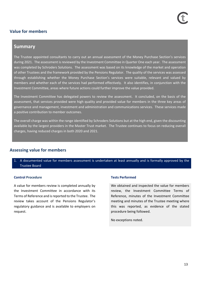### **Value for members**

### **Summary**

The Trustee appointed consultants to carry out an annual assessment of the Money Purchase Section's services during 2021. The assessment is reviewed by the Investment Committee in Quarter One each year. The assessment was completed by Schroders Solutions. The assessment was based on its knowledge of the market and operation of other Trustees and the framework provided by the Pensions Regulator. The quality of the services was assessed through establishing whether the Money Purchase Section's services were suitable, relevant and valued by members and whether each of the services had performed effectively. It also identifies, in conjunction with the Investment Committee, areas where future actions could further improve the value provided.

The Investment Committee has delegated powers to review the assessment. It concluded, on the basis of the assessment, that services provided were high quality and provided value for members in the three key areas of governance and management, investment and administration and communications services. These services made a positive contribution to member outcomes.

The overall charge was within the range identified by Schroders Solutions but at the high end, given the discounting available by the largest providers in the Master Trust market. The Trustee continues to focus on reducing overall charges, having reduced charges in both 2020 and 2021.

### **Assessing value for members**

1. A documented value for members assessment is undertaken at least annually and is formally approved by the Trustee Board

### **Control Procedure Tests Performed**

A value for members review is completed annually by the Investment Committee in accordance with its Terms of Reference and is reported to the Trustee. The review takes account of the Pensions Regulator's regulatory guidance and is available to employers on request.

We obtained and inspected the value for members review, the Investment Committee Terms of Reference, minutes of the Investment Committee meeting and minutes of the Trustee meeting where this was reported, as evidence of the stated procedure being followed.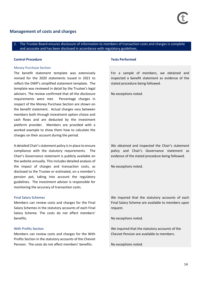### **Management of costs and charges**

### 2. The Trustee Board ensures disclosure of information to members of transaction costs and charges is complete and accurate and has been disclosed in accordance with regulatory guidelines.

### **Control Procedure Tests Performed**

### Money Purchase Section

The benefit statement template was extensively revised for the 2020 statements issued in 2021 to reflect the DWP's simplified statement template. The template was reviewed in detail by the Trustee's legal advisers. The review confirmed that all the disclosure requirements were met. Percentage charges in respect of the Money Purchase Section are shown on the benefit statement. Actual charges vary between members both through investment option choice and cash flows and are deducted by the investment platform provider. Members are provided with a worked example to show them how to calculate the charges on their account during the period.

A detailed Chair's statement policy is in place to ensure compliance with the statutory requirements. The Chair's Governance statement is publicly available on the website annually. This includes detailed analysis of the impact of charges and transaction costs, as disclosed to the Trustee or estimated, on a member's pension pot, taking into account the regulatory guidelines. The investment advisor is responsible for monitoring the accuracy of transaction costs.

### Final Salary Schemes

Members can review costs and charges for the Final Salary Schemes in the statutory accounts of each Final Salary Scheme. The costs do not affect members' benefits.

### With Profits Section

Members can review costs and charges for the With Profits Section in the statutory accounts of the Cheviot Pension. The costs do not affect members' benefits.

For a sample of members, we obtained and inspected a benefit statement as evidence of the stated procedure being followed.

No exceptions noted.

We obtained and inspected the Chair's statement policy and Chair's Governance statement as evidence of the stated procedure being followed.

No exceptions noted.

We inquired that the statutory accounts of each Final Salary Scheme are available to members upon request.

No exceptions noted.

We inquired that the statutory accounts of the Cheviot Pension are available to members.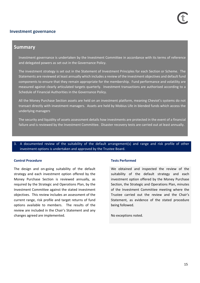### **Investment governance**

### **Summary**

Investment governance is undertaken by the Investment Committee in accordance with its terms of reference and delegated powers as set out in the Governance Policy.

The investment strategy is set out in the Statement of Investment Principles for each Section or Scheme. The Statements are reviewed at least annually which includes a review of the investment objectives and default fund components to ensure that they remain appropriate for the membership. Fund performance and volatility are measured against clearly articulated targets quarterly. Investment transactions are authorised according to a Schedule of Financial Authorities in the Governance Policy.

All the Money Purchase Section assets are held on an investment platform, meaning Cheviot's systems do not transact directly with investment managers. Assets are held by Mobius Life in blended funds which access the underlying managers

The security and liquidity of assets assessment details how investments are protected in the event of a financial failure and is reviewed by the Investment Committee. Disaster recovery tests are carried out at least annually.

### 3. A documented review of the suitability of the default arrangement(s) and range and risk profile of other investment options is undertaken and approved by the Trustee Board.

### **Control Procedure Tests Performed**

The design and on-going suitability of the default strategy and each investment option offered by the Money Purchase Section is reviewed annually, as required by the Strategic and Operations Plan, by the Investment Committee against the stated investment objectives. This review includes an assessment of the current range, risk profile and target returns of fund options available to members. The results of the review are included in the Chair's Statement and any changes agreed are implemented.

We obtained and inspected the review of the suitability of the default strategy and each investment option offered by the Money Purchase Section, the Strategic and Operations Plan, minutes of the Investment Committee meeting where the Trustee carried out the review and the Chair's Statement, as evidence of the stated procedure being followed.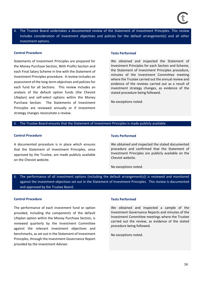4. The Trustee Board undertakes a documented review of the Statement of Investment Principles. This review includes consideration of investment objectives and policies for the default arrangement(s) and all other investment options.

### **Control Procedure Tests Performed Tests Performed**

Statements of Investment Principles are prepared for the Money Purchase Section, With Profits Section and each Final Salary Scheme in line with the Statement of Investment Principles procedure. A review includes an assessment of the long-term objectives and policies for each fund for all Sections. This review includes an analysis of the default option funds (the Cheviot Lifeplan) and self-select options within the Money Purchase Section. The Statements of Investment Principles are reviewed annually or if investment strategy changes necessitate a review.

We obtained and inspected the Statement of Investment Principles for each Section and Scheme, the Statement of Investment Principles procedure, minutes of the Investment Committee meeting where the Trustee carried out the annual review and evidence of the reviews carried out as a result of investment strategy changes, as evidence of the stated procedure being followed.

No exceptions noted.

### 5. The Trustee Board ensures that the Statement of Investment Principles is made publicly available.

### **Control Procedure Control Procedure 2008**

A documented procedure is in place which ensures that the Statement of Investment Principles, once approved by the Trustee, are made publicly available on the Cheviot website.

We obtained and inspected the stated documented procedure and confirmed that the Statement of Investment Principles are publicly available on the Cheviot website.

No exceptions noted.

6. The performance of all investment options (including the default arrangement(s)) is reviewed and monitored against the investment objectives set out in the Statement of Investment Principles. This review is documented and approved by the Trustee Board.

### **Control Procedure Tests Performed**

The performance of each investment fund or option provided, including the components of the default Lifeplan option within the Money Purchase Section, is reviewed quarterly by the Investment Committee against the relevant investment objectives and benchmarks, as set out in the Statement of Investment Principles, through the Investment Governance Report provided by the Investment Adviser.

We obtained and inspected a sample of the Investment Governance Reports and minutes of the Investment Committee meetings where the Trustee carried out the review, as evidence of the stated procedure being followed.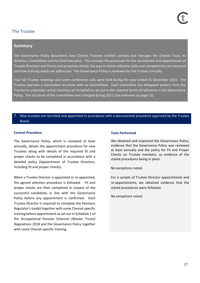### The Trustee

### **Summary**

The Governance Policy documents how Cheviot Trustees Limited controls and manages the Cheviot Trust, its directors, Committees and its Chief Executive. This includes the processes for the recruitment and appointment of Trustee Directors and fitness and propriety checks, the way in which collective skills and competencies are assessed and how training needs are addressed. The Governance Policy is reviewed by the Trustee annually.

Four full Trustee meetings and seven conference calls were held during the year ended 31 December 2021. The Trustee operates a Committee structure with six Committees. Each Committee has delegated powers from the Trustee to undertake certain business on its behalf as set out in the relevant terms of reference in the Governance Policy. The structure of the Committees was changed during 2021 (see overview on page 12).

### New trustees are recruited and appointed in accordance with a documented procedure approved by the Trustee Board.

### **Control Procedure Tests Performed**

The Governance Policy, which is reviewed at least annually, details the appointment procedure for new Trustees along with details of the required fit and proper checks to be completed in accordance with a detailed policy (Appointment of Trustee Directors, including fit and proper checks).

When a Trustee Director is appointed or re-appointed, the agreed selection procedure is followed. Fit and proper checks are then completed in respect of the successful candidates in line with the Governance Policy before any appointment is confirmed. Each Trustee Director is required to complete the Pensions Regulator's toolkit together with some Cheviot specific training before appointment as set out in Schedule 1 of the Occupational Pension Schemes (Master Trusts) Regulations 2018 and the Governance Policy together with some Cheviot specific training.

We obtained and inspected the Governance Policy, evidence that the Governance Policy was reviewed at least annually and the policy for Fit and Proper Checks on Trustee members, as evidence of the stated procedures being in place.

No exceptions noted.

For a sample of Trustee Director appointments and re-appointments, we obtained evidence that the stated procedures were followed.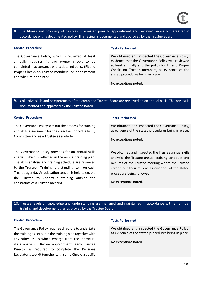8. The fitness and propriety of trustees is assessed prior to appointment and reviewed annually thereafter in accordance with a documented policy. This review is documented and approved by the Trustee Board.

### **Control Procedure Tests Performed**

The Governance Policy, which is reviewed at least annually, requires fit and proper checks to be completed in accordance with a detailed policy (Fit and Proper Checks on Trustee members) on appointment and when re-appointed.

We obtained and inspected the Governance Policy, evidence that the Governance Policy was reviewed at least annually and the policy for Fit and Proper Checks on Trustee members, as evidence of the stated procedures being in place.

No exceptions noted.

### 9. Collective skills and competencies of the combined Trustee Board are reviewed on an annual basis. This review is documented and approved by the Trustee Board.

### **Control Procedure Tests Performed**

The Governance Policy sets out the process for training and skills assessment for the directors individually, by Committee and as a Trustee as a whole.

The Governance Policy provides for an annual skills analysis which is reflected in the annual training plan. The skills analysis and training schedule are reviewed by the Trustee. Training is a standing item on each Trustee agenda. An education session is held to enable the Trustee to undertake training outside the constraints of a Trustee meeting.

We obtained and inspected the Governance Policy, as evidence of the stated procedures being in place.

No exceptions noted.

We obtained and inspected the Trustee annual skills analysis, the Trustee annual training schedule and minutes of the Trustee meeting where the Trustee carried out their review, as evidence of the stated procedure being followed.

No exceptions noted.

10. Trustee levels of knowledge and understanding are managed and maintained in accordance with an annual training and development plan approved by the Trustee Board.

### **Control Procedure Tests Performed**

The Governance Policy requires directors to undertake the training as set out in the training plan together with any other issues which emerge from the individual skills analysis. Before appointment, each Trustee Director is required to complete the Pensions Regulator's toolkit together with some Cheviot specific

We obtained and inspected the Governance Policy, as evidence of the stated procedures being in place.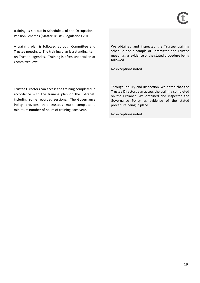training as set out in Schedule 1 of the Occupational Pension Schemes (Master Trusts) Regulations 2018.

A training plan is followed at both Committee and Trustee meetings. The training plan is a standing item on Trustee agendas. Training is often undertaken at Committee level.

We obtained and inspected the Trustee training schedule and a sample of Committee and Trustee meetings, as evidence of the stated procedure being followed.

No exceptions noted.

Trustee Directors can access the training completed in accordance with the training plan on the Extranet, including some recorded sessions. The Governance Policy provides that trustees must complete a minimum number of hours of training each year.

Through inquiry and inspection, we noted that the Trustee Directors can access the training completed on the Extranet. We obtained and inspected the Governance Policy as evidence of the stated procedure being in place.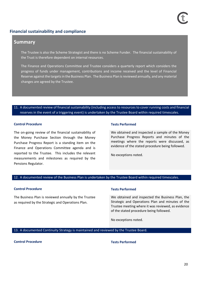### **Financial sustainability and compliance**

### **Summary**

The Trustee is also the Scheme Strategist and there is no Scheme Funder. The financial sustainability of the Trust is therefore dependent on internal resources.

The Finance and Operations Committee and Trustee considers a quarterly report which considers the progress of funds under management, contributions and income received and the level of Financial Reserve against the targets in the Business Plan. The Business Plan is reviewed annually, and any material changes are agreed by the Trustee.

### 11. A documented review of financial sustainability (including access to resources to cover running costs and financial reserves in the event of a triggering event) is undertaken by the Trustee Board within required timescales.

### **Control Procedure Tests Performed**

The on-going review of the financial sustainability of the Money Purchase Section through the Money Purchase Progress Report is a standing item on the Finance and Operations Committee agenda and is reported to the Trustee. This includes the relevant measurements and milestones as required by the Pensions Regulator.

We obtained and inspected a sample of the Money Purchase Progress Reports and minutes of the meetings where the reports were discussed, as evidence of the stated procedure being followed.

No exceptions noted.

### 12. A documented review of the Business Plan is undertaken by the Trustee Board within required timescales.

### **Control Procedure Tests Performed**

The Business Plan is reviewed annually by the Trustee as required by the Strategic and Operations Plan.

We obtained and inspected the Business Plan, the Strategic and Operations Plan and minutes of the Trustee meeting where it was reviewed, as evidence of the stated procedure being followed.

No exceptions noted.

13. A documented Continuity Strategy is maintained and reviewed by the Trustee Board.

### **Control Procedure Tests Performed**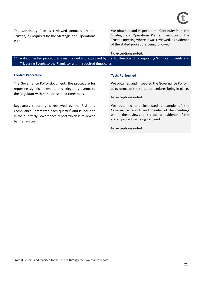The Continuity Plan is reviewed annually by the Trustee, as required by the Strategic and Operations Plan.

We obtained and inspected the Continuity Plan, the Strategic and Operations Plan and minutes of the Trustee meeting where it was reviewed, as evidence of the stated procedure being followed.

### No exceptions noted.

14. A documented procedure is maintained and approved by the Trustee Board for reporting Significant Events and Triggering Events to the Regulator within required timescales.

### **Control Procedure Tests Performed**

The Governance Policy documents the procedure for reporting significant events and triggering events to the Regulator within the prescribed timescales.

Regulatory reporting is reviewed by the Risk and Compliance Committee each quarter<sup>5</sup> and is included in the quarterly Governance report which is reviewed by the Trustee.

We obtained and inspected the Governance Policy, as evidence of the stated procedures being in place.

No exceptions noted.

We obtained and inspected a sample of the Governance reports and minutes of the meetings where the reviews took place, as evidence of the stated procedure being followed.

<sup>5</sup> From Q3 2021 – and reported to the Trustee through the Governance report.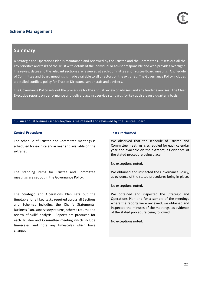### **Scheme Management**

### **Summary**

A Strategic and Operations Plan is maintained and reviewed by the Trustee and the Committees. It sets out all the key priorities and tasks of the Trust with details of the individual or adviser responsible and who provides oversight. The review dates and the relevant sections are reviewed at each Committee and Trustee Board meeting. A schedule of Committee and Board meetings is made available to all directors on the extranet. The Governance Policy includes a detailed conflicts policy for Trustee Directors, senior staff and advisers.

The Governance Policy sets out the procedure for the annual review of advisers and any tender exercises. The Chief Executive reports on performance and delivery against service standards for key advisers on a quarterly basis.

### 15. An annual business schedule/plan is maintained and reviewed by the Trustee Board.

### **Control Procedure Tests Performed**

The schedule of Trustee and Committee meetings is scheduled for each calendar year and available on the extranet.

The standing items for Trustee and Committee meetings are set out in the Governance Policy.

The Strategic and Operations Plan sets out the timetable for all key tasks required across all Sections and Schemes including the Chair's Statements, Business Plan, supervisory returns, scheme returns and review of skills' analysis. Reports are produced for each Trustee and Committee meeting which include timescales and note any timescales which have changed.

We observed that the schedule of Trustee and Committee meetings is scheduled for each calendar year and available on the extranet, as evidence of the stated procedure being place.

No exceptions noted.

We obtained and inspected the Governance Policy, as evidence of the stated procedures being in place.

No exceptions noted.

We obtained and inspected the Strategic and Operations Plan and for a sample of the meetings where the reports were reviewed, we obtained and inspected the minutes of the meetings, as evidence of the stated procedure being followed.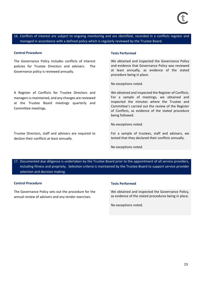16. Conflicts of interest are subject to ongoing monitoring and are identified, recorded in a conflicts register and managed in accordance with a defined policy which is regularly reviewed by the Trustee Board.

### **Control Procedure Tests Performed**

The Governance Policy includes conflicts of interest policies for Trustee Directors and advisers. The Governance policy is reviewed annually.

A Register of Conflicts for Trustee Directors and managers is maintained, and any changes are reviewed at the Trustee Board meetings quarterly and Committee meetings.

Trustee Directors, staff and advisers are required to declare their conflicts at least annually.

We obtained and inspected the Governance Policy and evidence that Governance Policy was reviewed at least annually, as evidence of the stated procedure being in place.

No exceptions noted.

We obtained and inspected the Register of Conflicts. For a sample of meetings, we obtained and inspected the minutes where the Trustee and Committee's carried out the review of the Register of Conflicts, as evidence of the stated procedure being followed.

No exceptions noted.

For a sample of trustees, staff and advisers, we tested that they declared their conflicts annually.

No exceptions noted.

17. Documented due diligence is undertaken by the Trustee Board prior to the appointment of all service providers, including fitness and propriety. Selection criteria is maintained by the Trustee Board to support service provider selection and decision making.

### **Control Procedure Tests Performed**

The Governance Policy sets out the procedure for the annual review of advisers and any tender exercises.

We obtained and inspected the Governance Policy, as evidence of the stated procedures being in place.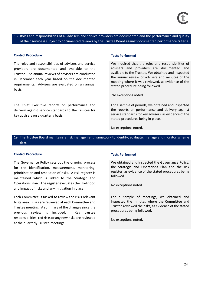18. Roles and responsibilities of all advisers and service providers are documented and the performance and quality of their service is subject to documented reviews by the Trustee Board against documented performance criteria.

### **Control Procedure Tests Performed**

The roles and responsibilities of advisers and service providers are documented and available to the Trustee. The annual reviews of advisers are conducted in December each year based on the documented requirements. Advisers are evaluated on an annual basis.

The Chief Executive reports on performance and delivery against service standards to the Trustee for key advisers on a quarterly basis.

We inquired that the roles and responsibilities of advisers and providers are documented and available to the Trustee. We obtained and inspected the annual review of advisers and minutes of the meeting where it was reviewed, as evidence of the stated procedure being followed.

No exceptions noted.

For a sample of periods, we obtained and inspected the reports on performance and delivery against service standards for key advisers, as evidence of the stated procedures being in place.

No exceptions noted.

19. The Trustee Board maintains a risk management framework to identify, evaluate, manage and monitor scheme risks.

### **Control Procedure Tests Performed**

The Governance Policy sets out the ongoing process for the identification, measurement, monitoring, prioritisation and resolution of risks. A risk register is maintained which is linked to the Strategic and Operations Plan. The register evaluates the likelihood and impact of risks and any mitigation in place.

Each Committee is tasked to review the risks relevant to its area. Risks are reviewed at each Committee and Trustee meeting. A summary of the changes since the previous review is included. Key trustee responsibilities, red risks or any new risks are reviewed at the quarterly Trustee meetings.

We obtained and inspected the Governance Policy, the Strategic and Operations Plan and the risk register, as evidence of the stated procedures being followed.

No exceptions noted.

For a sample of meetings, we obtained and inspected the minutes where the Committee and Trustee reviewed the risks, as evidence of the stated procedures being followed.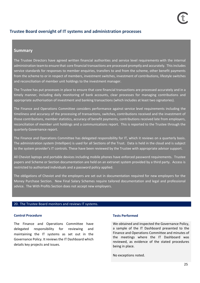### **Trustee Board oversight of IT systems and administration processes**

### **Summary**

The Trustee Directors have agreed written financial authorities and service level requirements with the internal administration teamto ensure that core financial transactions are processed promptly and accurately. This includes service standards for responses to member enquiries, transfers to and from the scheme, other benefit payments from the scheme to or in respect of members, investment switches, investment of contributions, lifestyle switches and reconciliation of member unit holdings to the investment manager.

The Trustee has put processes in place to ensure that core financial transactions are processed accurately and in a timely manner, including daily monitoring of bank accounts, clear processes for managing contributions and appropriate authorisation of investment and banking transactions (which includes at least two signatories).

The Finance and Operations Committee considers performance against service level requirements including the timeliness and accuracy of the processing of transactions, switches, contributions received and the investment of those contributions, member statistics, accuracy of benefit payments, contributions received late from employers, reconciliation of member unit holdings and a communications report. This is reported to the Trustee through the quarterly Governance report.

The Finance and Operations Committee has delegated responsibility for IT, which it reviews on a quarterly basis. The administration system (Intellipen) is used for all Sections of the Trust. Data is held in the cloud and is subject to the system provider's IT controls. These have been reviewed by the Trustee with appropriate advisor support.

All Cheviot laptops and portable devices including mobile phones have enforced password requirements. Trustee papers and Scheme or Section documentation are held on an extranet system provided by a third party. Access is restricted to authorised individuals and a password policy applied.

The obligations of Cheviot and the employers are set out in documentation required for new employers for the Money Purchase Section. New Final Salary Schemes require tailored documentation and legal and professional advice. The With Profits Section does not accept new employers.

### 20. The Trustee Board monitors and reviews IT systems.

### **Control Procedure Tests Performed**

The Finance and Operations Committee have delegated responsibility for reviewing and maintaining the IT systems as set out in the Governance Policy. It reviewsthe IT Dashboard which details key projects and issues.

We obtained and inspected the Governance Policy, a sample of the IT Dashboard presented to the Finance and Operations Committee and minutes of the meetings where the IT Dashboard was reviewed, as evidence of the stated procedures being in place.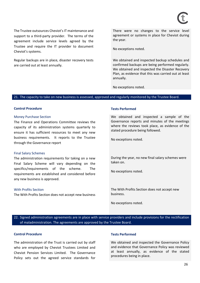The Trustee outsources Cheviot's IT maintenance and support to a third-party provider. The terms of the agreement include service levels agreed by the Trustee and require the IT provider to document Cheviot's systems.

Regular backups are in place, disaster recovery tests are carried out at least annually.

There were no changes to the service level agreement or systems in place for Cheviot during the year.

No exceptions noted.

We obtained and inspected backup schedules and confirmed backups are being performed regularly. We obtained and inspected the Disaster Recovery Plan, as evidence that this was carried out at least annually.

No exceptions noted.

### 21. The capacity to take on new business is assessed, approved and regularly monitored by the Trustee Board.

### **Control Procedure Tests Performed**

### Money Purchase Section

The Finance and Operations Committee reviews the capacity of its administration systems quarterly to ensure it has sufficient resources to meet any new business requirements. It reports to the Trustee through the Governance report

### Final Salary Schemes

The administration requirements for taking on a new Final Salary Scheme will vary depending on the specifics/requirements of the scheme. The requirements are established and considered before any new business is approved.

### With Profits Section

The With Profits Section does not accept new business

We obtained and inspected a sample of the Governance reports and minutes of the meetings where the reviews took place, as evidence of the stated procedure being followed.

No exceptions noted.

During the year, no new final salary schemes were taken on.

No exceptions noted.

The With Profits Section does not accept new business.

No exceptions noted.

22. Signed administration agreements are in place with service providers and include provisions for the rectification of maladministration. The agreements are approved by the Trustee Board.

### **Control Procedure Tests Performed**

The administration of the Trust is carried out by staff who are employed by Cheviot Trustees Limited and Cheviot Pension Services Limited. The Governance Policy sets out the agreed service standards for

We obtained and inspected the Governance Policy and evidence that Governance Policy was reviewed at least annually, as evidence of the stated procedures being in place.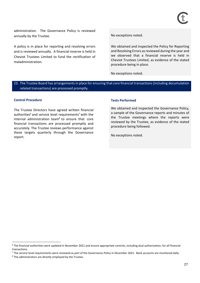administration. The Governance Policy is reviewed annually by the Trustee. And the Mateus of the Trustee.

A policy is in place for reporting and resolving errors and is reviewed annually. A financial reserve is held in Cheviot Trustees Limited to fund the rectification of maladministration.

We obtained and inspected the Policy for Reporting and Resolving Errors as reviewed during the year and we observed that a financial reserve is held in Cheviot Trustees Limited, as evidence of the stated procedure being in place.

No exceptions noted.

### 23. The Trustee Board has arrangements in place for ensuring that core financial transactions (including decumulation related transactions) are processed promptly.

### **Control Procedure Tests Performed**

The Trustee Directors have agreed written financial authorities<sup>6</sup> and service level requirements<sup>7</sup> with the internal administration team<sup>8</sup> to ensure that core financial transactions are processed promptly and accurately. The Trustee reviews performance against these targets quarterly through the Governance report.

We obtained and inspected the Governance Policy, a sample of the Governance reports and minutes of the Trustee meetings where the reports were reviewed by the Trustee, as evidence of the stated procedure being followed.

 $6$  The financial authorities were updated in November 2021 and ensure appropriate controls, including dual authorisation, for all financial transactions.

 $7$  The service level requirements were reviewed as part of the Governance Policy in December 2021. Bank accounts are monitored daily.

<sup>&</sup>lt;sup>8</sup> The administrators are directly employed by the Trustee.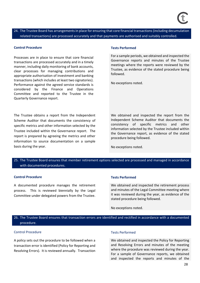24. The Trustee Board has arrangements in place for ensuring that core financial transactions (including decumulation related transactions) are processed accurately and that payments are authorised and suitably controlled.

### **Control Procedure Tests Performed**

Processes are in place to ensure that core financial transactions are processed accurately and in a timely manner, including daily monitoring of bank accounts, clear processes for managing contributions and appropriate authorisation of investment and banking transactions (which includes at least two signatories). Performance against the agreed service standards is considered by the Finance and Operations Committee and reported to the Trustee in the Quarterly Governance report.

The Trustee obtains a report from the Independent Scheme Auditor that documents the consistency of specific metrics and other information selected by the Trustee included within the Governance report. The report is prepared by agreeing the metrics and other information to source documentation on a sample basis during the year.

For a sample periods, we obtained and inspected the Governance reports and minutes of the Trustee meetings where the reports were reviewed by the Trustee, as evidence of the stated procedure being followed.

No exceptions noted.

We obtained and inspected the report from the Independent Scheme Auditor that documents the consistency of specific metrics and other information selected by the Trustee included within the Governance report, as evidence of the stated procedure being followed.

No exceptions noted.

### 25. The Trustee Board ensures that member retirement options selected are processed and managed in accordance with documented procedures.

### **Control Procedure Tests Performed**

A documented procedure manages the retirement process. This is reviewed biennially by the Legal Committee under delegated powers from the Trustee.

We obtained and inspected the retirement process and minutes of the Legal Committee meeting where it was reviewed during the year, as evidence of the stated procedure being followed.

No exceptions noted.

### 26. The Trustee Board ensures that transaction errors are identified and rectified in accordance with a documented procedure.

### Control Procedure Tests Performed

A policy sets out the procedure to be followed when a transaction error is identified (Policy for Reporting and Resolving Errors). It is reviewed annually. Transaction

We obtained and inspected the Policy for Reporting and Resolving Errors and minutes of the meeting where the procedure was reviewed during the year. For a sample of Governance reports, we obtained and inspected the reports and minutes of the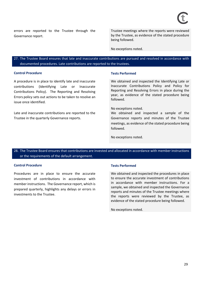errors are reported to the Trustee through the Governance report.

Trustee meetings where the reports were reviewed by the Trustee, as evidence of the stated procedure being followed.

No exceptions noted.

27. The Trustee Board ensures that late and inaccurate contributions are pursued and resolved in accordance with documented procedures. Late contributions are reported to the trustees.

### **Control Procedure Tests Performed**

A procedure is in place to identify late and inaccurate contributions (Identifying Late or Inaccurate Contributions Policy). The Reporting and Resolving Errors policy sets out actions to be taken to resolve an issue once identified.

Late and inaccurate contributions are reported to the Trustee in the quarterly Governance reports.

We obtained and inspected the Identifying Late or Inaccurate Contributions Policy and Policy for Reporting and Resolving Errors in place during the year, as evidence of the stated procedure being followed.

### No exceptions noted.

We obtained and inspected a sample of the Governance reports and minutes of the Trustee meetings, as evidence of the stated procedure being followed.

No exceptions noted.

28. The Trustee Board ensures that contributions are invested and allocated in accordance with member instructions or the requirements of the default arrangement.

### **Control Procedure Tests Performed**

Procedures are in place to ensure the accurate investment of contributions in accordance with member instructions. The Governance report, which is prepared quarterly, highlights any delays or errors in investments to the Trustee.

We obtained and inspected the procedures in place to ensure the accurate investment of contributions in accordance with member instructions. For a sample, we obtained and inspected the Governance reports and minutes of the Trustee meetings where the reports were reviewed by the Trustee, as evidence of the stated procedure being followed.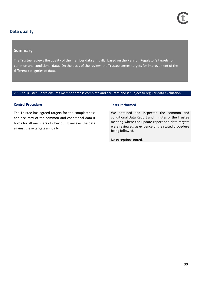### **Data quality**

### **Summary**

The Trustee reviews the quality of the member data annually, based on the Pension Regulator's targets for common and conditional data. On the basis of the review, the Trustee agrees targets for improvement of the different categories of data.

### 29. The Trustee Board ensures member data is complete and accurate and is subject to regular data evaluation.

### **Control Procedure Control Procedure Control Procedure** Tests Performed

The Trustee has agreed targets for the completeness and accuracy of the common and conditional data it holds for all members of Cheviot. It reviews the data against these targets annually.

We obtained and inspected the common and conditional Data Report and minutes of the Trustee meeting where the update report and data targets were reviewed, as evidence of the stated procedure being followed.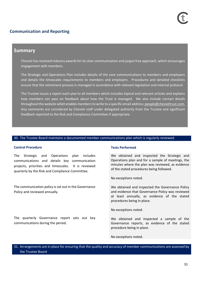### **Communication and Reporting**

### **Summary**

Cheviot has received industry awards for its clear communication and jargon free approach, which encourages engagement with members.

The Strategic and Operations Plan includes details of the core communications to members and employers and details the timescales requirements to members and employers. Procedures and detailed checklists ensure that the retirement process is managed in accordance with relevant legislation and internal protocol.

The Trustee issues a report each yearto all members which includes topical and relevant articles and explains how members can pass on feedback about how the Trust is managed. We also include contact details throughout the website which enables members to write to a specific email address: [people@cheviottrust.com.](mailto:%20people@cheviottrust.com.) Any comments are considered by Cheviot staff under delegated authority from the Trustee and significant feedback reported to the Risk and Compliance Committee if appropriate.

### 30. The Trustee Board maintains a documented member communications plan which is regularly reviewed.

### **Control Procedure Tests Performed**

The Strategic and Operations plan includes communications and details key communication projects, priorities and timescales. It is reviewed quarterly by the Risk and Compliance Committee.

The communication policy is set out in the Governance Policy and reviewed annually.

The quarterly Governance report sets out key communications during the period.

We obtained and inspected the Strategic and Operations plan and for a sample of meetings, the minutes where the plan was reviewed, as evidence of the stated procedures being followed.

No exceptions noted.

We obtained and inspected the Governance Policy and evidence that Governance Policy was reviewed at least annually, as evidence of the stated procedures being in place.

No exceptions noted.

We obtained and inspected a sample of the Governance reports, as evidence of the stated procedure being in place.

No exceptions noted.

31. Arrangements are in place for ensuring that the quality and accuracy of member communications are assessed by the Trustee Board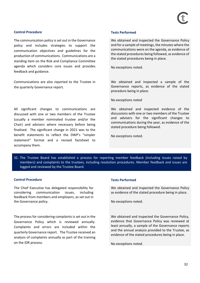### **Control Procedure Tests Performed**

The communication policy is set out in the Governance policy and includes strategies to support the communication objectives and guidelines for the production of communications. Communications are a standing item on the Risk and Compliance Committee agenda which considers core issues and provides feedback and guidance.

Communications are also reported to the Trustee in the quarterly Governance report.

All significant changes to communications are discussed with one or two members of the Trustee (usually a member nominated trustee and/or the Chair) and advisers where necessary before being finalised. The significant change in 2021 was to the benefit statements to reflect the DWP's "simpler statement" format and a revised factsheet to accompany them.

We obtained and inspected the Governance Policy and for a sample of meetings, the minutes where the communications were on the agenda, as evidence of the stated procedures being followed, as evidence of the stated procedures being in place.

No exceptions noted.

We obtained and inspected a sample of the Governance reports, as evidence of the stated procedure being in place.

No exceptions noted

We obtained and inspected evidence of the discussions with one or two members of the Trustee and advisers for the significant changes to communications during the year, as evidence of the stated procedure being followed.

No exceptions noted.

32. The Trustee Board has established a process for reporting member feedback (including issues raised by members) and complaints to the trustees, including resolution procedures. Member feedback and issues are logged and reviewed by the Trustee Board.

### **Control Procedure Tests Performed**

The Chief Executive has delegated responsibility for considering communication issues, including feedback from members and employers, as set out in the Governance policy.

The process for considering complaints is set out in the Governance Policy which is reviewed annually. Complaints and errors are included within the quarterly Governance report. The Trustee received an analysis of complaints annually as part of the training on the IDR process.

We obtained and inspected the Governance Policy as evidence of the stated procedure being in place.

No exceptions noted.

We obtained and inspected the Governance Policy, evidence that Governance Policy was reviewed at least annually, a sample of the Governance reports and the annual analysis provided to the Trustee, as evidence of the stated procedures being in place.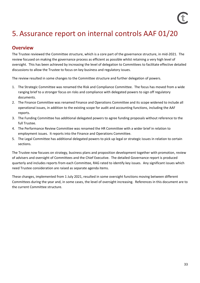# 5. Assurance report on internal controls AAF 01/20

### **Overview**

The Trustee reviewed the Committee structure, which is a core part of the governance structure, in mid-2021. The review focused on making the governance process as efficient as possible whilst retaining a very high level of oversight. This has been achieved by increasing the level of delegation to Committees to facilitate effective detailed discussions to allow the Trustee to focus on key business and regulatory issues.

The review resulted in some changes to the Committee structure and further delegation of powers.

- 1. The Strategic Committee was renamed the Risk and Compliance Committee. The focus has moved from a wide ranging brief to a stronger focus on risks and compliance with delegated powers to sign off regulatory documents.
- 2. The Finance Committee was renamed Finance and Operations Committee and its scope widened to include all operational issues, in addition to the existing scope for audit and accounting functions, including the AAF reports.
- 3. The Funding Committee has additional delegated powers to agree funding proposals without reference to the full Trustee.
- 4. The Performance Review Committee was renamed the HR Committee with a wider brief in relation to employment issues. It reports into the Finance and Operations Committee.
- 5. The Legal Committee has additional delegated powers to pick up legal or strategic issues in relation to certain sections.

The Trustee now focuses on strategy, business plans and proposition development together with promotion, review of advisers and oversight of Committees and the Chief Executive. The detailed Governance report is produced quarterly and includes reports from each Committee, RAG rated to identify key issues. Any significant issues which need Trustee consideration are raised as separate agenda items.

These changes, implemented from 1 July 2021, resulted in some oversight functions moving between different Committees during the year and, in some cases, the level of oversight increasing. References in this document are to the current Committee structure.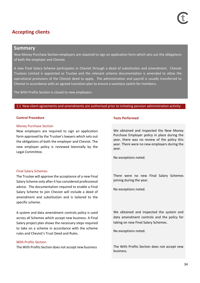### **Accepting clients**

### **Summary**

New Money Purchase Section employers are required to sign an application form which sets out the obligations of both the employer and Cheviot.

A new Final Salary Scheme participates in Cheviot through a deed of substitution and amendment. Cheviot Trustees Limited is appointed as Trustee and the relevant scheme documentation is amended to allow the operational provisions of the Cheviot deed to apply. The administration and payroll is usually transferred to Cheviot in accordance with an agreed transition plan to ensure a seamless switch for members.

The With Profits Section is closed to new employers.

### 1.1 New client agreements and amendments are authorised prior to initiating pension administration activity

### **Control Procedure Tests Performed**

### Money Purchase Section

New employers are required to sign an application form approved by the Trustee's lawyers which sets out the obligations of both the employer and Cheviot. The new employer policy is reviewed biennially by the Legal Committee.

### Final Salary Schemes

The Trustee will approve the acceptance of a new Final Salary Scheme only after it has considered professional advice. The documentation required to enable a Final Salary Scheme to join Cheviot will include a deed of amendment and substitution and is tailored to the specific scheme.

A system and data amendment controls policy is used across all Schemes which accept new business. A Final Salary project plan shows the necessary steps required to take on a scheme in accordance with the scheme rules and Cheviot's Trust Deed and Rules.

### With Profits Section

The With Profits Section does not accept new business. The With Profits Section does not accept new

We obtained and inspected the New Money Purchase Employer policy in place during the year, there was no review of the policy this year. There were no new employers during the year.

No exceptions noted.

There were no new Final Salary Schemes joining during the year.

No exceptions noted.

We obtained and inspected the system and data amendment controls and the policy for taking on new Final Salary Schemes.

No exceptions noted.

business.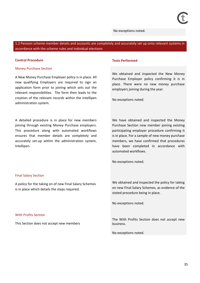### No exceptions noted.

1.2 Pension scheme member details and accounts are completely and accurately set up onto relevant systems in accordance with the scheme rules and individual elections

### **Control Procedure Tests Performed**

### Money Purchase Section

A New Money Purchase Employer policy is in place. All new qualifying Employers are required to sign an application form prior to joining which sets out the relevant responsibilities. The form then leads to the creation of the relevant records within the Intellipen administration system.

A detailed procedure is in place for new members joining through existing Money Purchase employers. This procedure along with automated workflows ensures that member details are completely and accurately set-up within the administration system, Intellipen.

We obtained and inspected the New Money Purchase Employer policy confirming it is in place. There were no new money purchase employers joining during the year.

No exceptions noted.

We have obtained and inspected the Money Purchase Section new member joining existing participating employer procedure confirming it is in place. For a sample of new money purchase members, we have confirmed that procedures have been completed in accordance with automated workflows.

No exceptions noted.

### Final Salary Section

A policy for the taking on of new Final Salary Schemes is in place which details the steps required.

### With Profits Section

This Section does not accept new members

We obtained and inspected the policy for taking on new Final Salary Schemes, as evidence of the stated procedure being in place.

No exceptions noted.

The With Profits Section does not accept new business.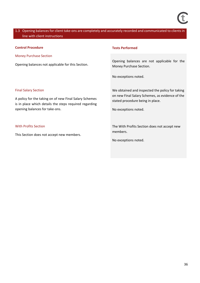### 1.3 Opening balances for client take-ons are completely and accurately recorded and communicated to clients in line with client instructions

### **Control Procedure Tests Performed**

Money Purchase Section

Opening balances not applicable for this Section.

Opening balances are not applicable for the Money Purchase Section.

No exceptions noted.

### Final Salary Section

A policy for the taking on of new Final Salary Schemes is in place which details the steps required regarding opening balances for take-ons.

### With Profits Section

This Section does not accept new members.

We obtained and inspected the policy for taking on new Final Salary Schemes, as evidence of the stated procedure being in place.

No exceptions noted.

The With Profits Section does not accept new members.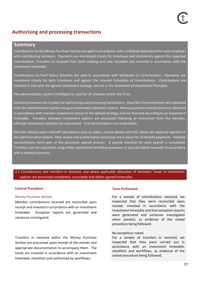# **Authorising and processing transactions**

# **Summary**

Contributions to the Money Purchase Section are paid in accordance with a schedule determined for each employer with contributing members. Payments are monitored closely for timeliness and consistency against the expected contributions. Transfers in received from both existing and new members are invested in accordance with the investment timetable.

Contributions to Final Salary Schemes are paid in accordance with Schedules of Contributions. Payments are monitored closely for both timeliness and against the relevant Schedules of Contributions. Contributions are invested in line with the agreed investment strategy, set out in the Statement of Investment Principles.

The administration system (Intellipen) is used for all schemes within the Trust.

Detailed processes are in place for authorising and processing transactions. Data files from employers are uploaded onto the administration system using an automated validation routine. Money purchase contributions are allocated in accordance with member investment choice or the default strategy and are invested according to an investment timetable. Transfers between investment options are processed following an instruction from the member. Lifestyle investment switches are automated. Unit reconciliations are undertaken.

Member details used in benefit calculations such as salary, service details and AVC values are updated regularly in the administration system. Peer review and authorisation processes are in place for all benefit payments. Detailed reconciliations form part of the pensioner payroll process. A payroll checklist for each payroll is completed. Transfers out are calculated using either automated workflow processes or are calculated manually in accordance with a standard process.

# 2.1 Contributions and transfers-in received, and where applicable allocation of members' funds to investment options are processed completely, accurately and within agreed timescales

### **Control Procedure Tests Performed**

### Money Purchase Section

Member contributions received are reconciled upon receipt and invested in accordance with an investment timetable. Exception reports are generated and variances investigated.

Transfers in received within the Money Purchase Section are processed upon receipt of the monies and appropriate documentation to accompany them. The funds are invested in accordance with an investment timetable, checklists and authorised by workflows.

For a sample of contributions received, we inspected that they were reconciled upon receipt, invested in accordance with the investment timetable and that exception reports were generated and variances investigated when present, as evidence of the stated procedure being followed.

### No exceptions noted.

For a sample of transfers in received, we inspected that they were carried out in accordance with an investment timetable, checklists and workflows, as evidence of the stated procedure being followed.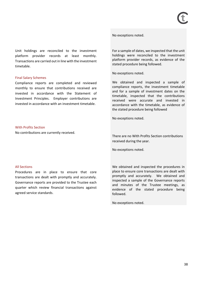No exceptions noted.

Unit holdings are reconciled to the investment platform provider records at least monthly. Transactions are carried out in line with the investment timetable.

#### Final Salary Schemes

Compliance reports are completed and reviewed monthly to ensure that contributions received are invested in accordance with the Statement of Investment Principles. Employer contributions are invested in accordance with an investment timetable.

For a sample of dates, we inspected that the unit holdings were reconciled to the investment platform provider records, as evidence of the stated procedure being followed.

No exceptions noted.

We obtained and inspected a sample of compliance reports, the investment timetable and for a sample of investment dates on the timetable, inspected that the contributions received were accurate and invested in accordance with the timetable, as evidence of the stated procedure being followed

No exceptions noted.

#### With Profits Section

No contributions are currently received.

### All Sections

Procedures are in place to ensure that core transactions are dealt with promptly and accurately. Governance reports are provided to the Trustee each quarter which review financial transactions against agreed service standards.

There are no With Profits Section contributions received during the year.

No exceptions noted.

We obtained and inspected the procedures in place to ensure core transactions are dealt with promptly and accurately. We obtained and inspected a sample of the Governance reports and minutes of the Trustee meetings, as evidence of the stated procedure being followed.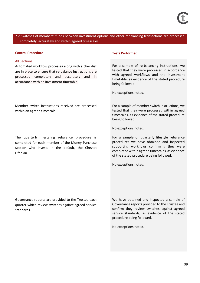2.2 Switches of members' funds between investment options and other rebalancing transactions are processed completely, accurately and within agreed timescales.

#### **Control Procedure Tests Performed**

#### All Sections

Automated workflow processes along with a checklist are in place to ensure that re-balance instructions are processed completely and accurately and in accordance with an investment timetable.

Member switch instructions received are processed within an agreed timescale.

The quarterly lifestyling rebalance procedure is completed for each member of the Money Purchase Section who invests in the default, the Cheviot Lifeplan.

For a sample of re-balancing instructions, we tested that they were processed in accordance with agreed workflows and the investment timetable, as evidence of the stated procedure being followed.

No exceptions noted.

For a sample of member switch instructions, we tested that they were processed within agreed timescales, as evidence of the stated procedure being followed.

No exceptions noted.

For a sample of quarterly lifestyle rebalance procedures we have obtained and inspected supporting workflows confirming they were completed within agreed timescales, as evidence of the stated procedure being followed.

No exceptions noted.

Governance reports are provided to the Trustee each quarter which review switches against agreed service standards.

We have obtained and inspected a sample of Governance reports provided to the Trustee and confirm they review switches against agreed service standards, as evidence of the stated procedure being followed.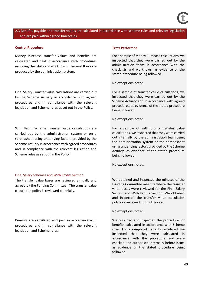# 2.3 Benefits payable and transfer values are calculated in accordance with scheme rules and relevant legislation and are paid within agreed timescales

### **Control Procedure Tests Performed**

Money Purchase transfer values and benefits are calculated and paid in accordance with procedures including checklists and workflows. The workflows are produced by the administration system.

Final Salary Transfer value calculations are carried out by the Scheme Actuary in accordance with agreed procedures and in compliance with the relevant legislation and Scheme rules as set out in the Policy.

With Profit Scheme Transfer value calculations are carried out by the administration system or on a spreadsheet using underlying factors provided by the Scheme Actuary in accordance with agreed procedures and in compliance with the relevant legislation and Scheme rules as set out in the Policy.

#### Final Salary Schemes and With Profits Section

The transfer value bases are reviewed annually and agreed by the Funding Committee. The transfer value calculation policy is reviewed biennially.

Benefits are calculated and paid in accordance with procedures and in compliance with the relevant legislation and Scheme rules.

For a sample of Money Purchase calculations, we inspected that they were carried out by the administration team in accordance with the checklists and workflows, as evidence of the stated procedure being followed.

No exceptions noted.

For a sample of transfer value calculations, we inspected that they were carried out by the Scheme Actuary and in accordance with agreed procedures, as evidence of the stated procedure being followed.

No exceptions noted.

For a sample of with profits transfer value calculations, we inspected that they were carried out internally by the administration team using the administration system or the spreadsheet using underlying factors provided by the Scheme Actuary, as evidence of the stated procedure being followed.

No exceptions noted.

We obtained and inspected the minutes of the Funding Committee meeting where the transfer value bases were reviewed for the Final Salary Section and With Profits Section. We obtained and inspected the transfer value calculation policy as reviewed during the year.

No exceptions noted.

We obtained and inspected the procedure for benefits calculated in accordance with Scheme rules. For a sample of benefits calculated, we inspected that they were calculated in accordance with the procedure and were checked and authorised internally before issue, as evidence of the stated procedure being followed.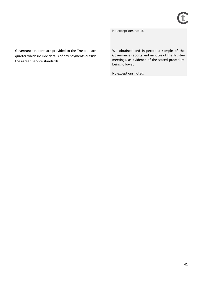No exceptions noted.

Governance reports are provided to the Trustee each quarter which include details of any payments outside the agreed service standards.

We obtained and inspected a sample of the Governance reports and minutes of the Trustee meetings, as evidence of the stated procedure being followed.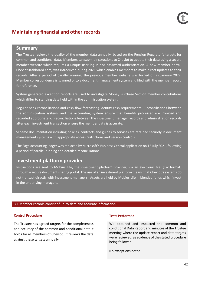# **Maintaining financial and other records**

# **Summary**

The Trustee reviews the quality of the member data annually, based on the Pension Regulator's targets for common and conditional data. Members can submit instructions to Cheviot to update their data using a secure member website which requires a unique user log-in and password authentication. A new member portal, CheviotDashboard.com, was introduced during 2021 which enables members to make direct updates to their records. After a period of parallel running, the previous member website was turned off in January 2022. Member correspondence is scanned onto a document management system and filed with the member record for reference.

System generated exception reports are used to investigate Money Purchase Section member contributions which differ to standing data held within the administration system.

Regular bank reconciliations and cash flow forecasting identify cash requirements. Reconciliations between the administration systems and the accounting system ensure that benefits processed are invoiced and recorded appropriately. Reconciliations between the investment manager records and administration records after each investment transaction ensure the member data is accurate.

Scheme documentation including policies, contracts and guides to services are retained securely in document management systems with appropriate access restrictions and version controls.

The Sage accounting ledger was replaced by Microsoft's Business Central application on 15 July 2021, following a period of parallel running and detailed reconciliations

# **Investment platform provider**

Instructions are sent to Mobius Life, the investment platform provider, via an electronic file, (csv format) through a secure document sharing portal. The use of an investment platform means that Cheviot's systems do not transact directly with investment managers. Assets are held by Mobius Life in blended funds which invest in the underlying managers.

# 3.1 Member records consist of up-to-date and accurate information

### **Control Procedure Tests Performed**

The Trustee has agreed targets for the completeness and accuracy of the common and conditional data it holds for all members of Cheviot. It reviews the data against these targets annually.

We obtained and inspected the common and conditional Data Report and minutes of the Trustee meeting where the update report and data targets were reviewed, as evidence of the stated procedure being followed.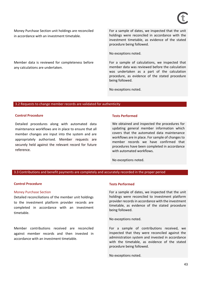Money Purchase Section unit holdings are reconciled in accordance with an investment timetable.

Member data is reviewed for completeness before any calculations are undertaken.

For a sample of dates, we inspected that the unit holdings were reconciled in accordance with the investment timetable, as evidence of the stated procedure being followed.

No exceptions noted.

For a sample of calculations, we inspected that member data was reviewed before the calculation was undertaken as a part of the calculation procedure, as evidence of the stated procedure being followed.

No exceptions noted.

#### 3.2 Requests to change member records are validated for authenticity

#### **Control Procedure Tests Performed**

Detailed procedures along with automated data maintenance workflows are in place to ensure that all member changes are input into the system and are appropriately authorised. Member requests are securely held against the relevant record for future reference.

We obtained and inspected the procedures for updating general member information which covers that the automated data maintenance workflows are in place. For sample of changes to member records we have confirmed that procedures have been completed in accordance with automated workflows.

No exceptions noted.

#### 3.3 Contributions and benefit payments are completely and accurately recorded in the proper period

#### **Control Procedure Tests Performed**

#### Money Purchase Section

Detailed reconciliations of the member unit holdings to the investment platform provider records are completed in accordance with an investment timetable.

Member contributions received are reconciled against member records and then invested in accordance with an investment timetable.

For a sample of dates, we inspected that the unit holdings were reconciled to investment platform provider recordsin accordance with the investment timetable, as evidence of the stated procedure being followed.

No exceptions noted.

For a sample of contributions received, we inspected that they were reconciled against the administration system and invested in accordance with the timetable, as evidence of the stated procedure being followed.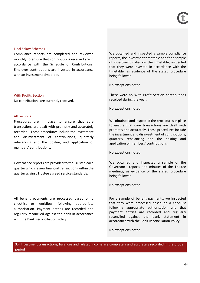Compliance reports are completed and reviewed monthly to ensure that contributions received are in accordance with the Schedule of Contributions. Employer contributions are invested in accordance with an investment timetable.

### With Profits Section

No contributions are currently received.

## All Sections

Procedures are in place to ensure that core transactions are dealt with promptly and accurately recorded. These procedures include the investment and disinvestment of contributions, quarterly rebalancing and the posting and application of members' contributions.

Governance reports are provided to the Trustee each quarter which review financial transactions within the quarter against Trustee agreed service standards.

All benefit payments are processed based on a checklist or workflow, following appropriate authorisation. Payment entries are recorded and regularly reconciled against the bank in accordance with the Bank Reconciliation Policy.

We obtained and inspected a sample compliance reports, the investment timetable and for a sample of investment dates on the timetable, inspected that they were invested in accordance with the timetable, as evidence of the stated procedure being followed.

No exceptions noted.

There were no With Profit Section contributions received during the year.

No exceptions noted.

We obtained and inspected the procedures in place to ensure that core transactions are dealt with promptly and accurately. These procedures include the investment and disinvestment of contributions, quarterly rebalancing and the posting and application of members' contributions.

No exceptions noted.

We obtained and inspected a sample of the Governance reports and minutes of the Trustee meetings, as evidence of the stated procedure being followed.

No exceptions noted.

For a sample of benefit payments, we inspected that they were processed based on a checklist following appropriate authorisation and that payment entries are recorded and regularly reconciled against the bank statement in accordance with the Bank Reconciliation Policy.

No exceptions noted.

3.4 Investment transactions, balances and related income are completely and accurately recorded in the proper period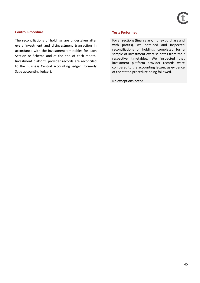## **Control Procedure Tests Performed**

The reconciliations of holdings are undertaken after every investment and disinvestment transaction in accordance with the investment timetables for each Section or Scheme and at the end of each month. Investment platform provider records are reconciled to the Business Central accounting ledger (formerly Sage accounting ledger).

For all sections (final salary, money purchase and with profits), we obtained and inspected reconciliations of holdings completed for a sample of investment exercise dates from their respective timetables. We inspected that investment platform provider records were compared to the accounting ledger, as evidence of the stated procedure being followed.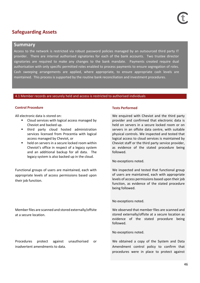# **Safeguarding Assets**

# **Summary**

Access to the network is restricted via robust password policies managed by an outsourced third party IT provider. There are internal authorised signatories for each of the bank accounts. Two trustee director signatories are required to make any changes to the bank mandate. Payments created require dual authorisation with only specific permitted roles enabled to process payments to ensure segregation of roles. Cash sweeping arrangements are applied, where appropriate, to ensure appropriate cash levels are maintained. This process is supported by the routine bank reconciliation and investment procedures.

## 4.1 Member records are securely held and access is restricted to authorised individuals

# **Control Procedure Tests Performed**

All electronic data is stored on:

- Cloud services with logical access managed by Cheviot and backed up.
- third party cloud hosted administration services licensed from Procentia with logical access managed by Cheviot, or
- held on servers in a secure locked room within Cheviot's office in respect of a legacy system and an additional backup for all data. The legacy system is also backed up in the cloud.

Functional groups of users are maintained, each with appropriate levels of access permissions based upon their job function.

Member files are scanned and stored externally/offsite at a secure location.

Procedures protect against unauthorised or inadvertent amendments to data.

We enquired with Cheviot and the third party provider and confirmed that electronic data is held on servers in a secure locked room or on servers in an offsite data centre, with suitable physical controls. We inspected and tested that logical access to cloud services is maintained by Cheviot staff or the third party service provider, as evidence of the stated procedure being followed.

No exceptions noted.

We inspected and tested that functional group of users are maintained, each with appropriate levels of access permissions based upon their job function, as evidence of the stated procedure being followed.

### No exceptions noted.

We observed that member files are scanned and stored externally/offsite at a secure location as evidence of the stated procedure being followed.

No exceptions noted.

We obtained a copy of the System and Data Amendment control policy to confirm that procedures were in place to protect against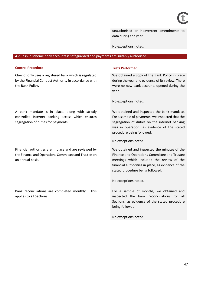unauthorised or inadvertent amendments to data during the year.

No exceptions noted.

#### 4.2 Cash in scheme bank accounts is safeguarded and payments are suitably authorised

#### **Control Procedure Tests Performed**

Cheviot only uses a registered bank which is regulated by the Financial Conduct Authority in accordance with the Bank Policy.

We obtained a copy of the Bank Policy in place during the year and evidence of its review. There were no new bank accounts opened during the year.

No exceptions noted.

We obtained and inspected the bank mandate. For a sample of payments, we inspected that the segregation of duties on the internet banking was in operation, as evidence of the stated procedure being followed.

No exceptions noted.

We obtained and inspected the minutes of the Finance and Operations Committee and Trustee meetings which included the review of the financial authorities in place, as evidence of the stated procedure being followed.

No exceptions noted.

For a sample of months, we obtained and inspected the bank reconciliations for all Sections, as evidence of the stated procedure being followed.

No exceptions noted.

A bank mandate is in place, along with strictly controlled Internet banking access which ensures segregation of duties for payments.

Financial authorities are in place and are reviewed by the Finance and Operations Committee and Trustee on an annual basis.

Bank reconciliations are completed monthly. This applies to all Sections.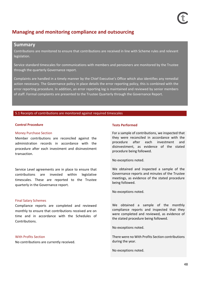# **Managing and monitoring compliance and outsourcing**

# **Summary**

Contributions are monitored to ensure that contributions are received in line with Scheme rules and relevant legislation.

Service standard timescales for communications with members and pensioners are monitored by the Trustee through the quarterly Governance report.

Complaints are handled in a timely manner by the Chief Executive's Office which also identifies any remedial action necessary. The Governance policy in place details the error reporting policy, this is combined with the error reporting procedure. In addition, an error reporting log is maintained and reviewed by senior members of staff. Formal complaints are presented to the Trustee Quarterly through the Governance Report.

#### 5.1 Receipts of contributions are monitored against required timescales

### **Control Procedure Control Procedure Control Procedure** Tests Performed

### Money Purchase Section

Member contributions are reconciled against the administration records in accordance with the procedure after each investment and disinvestment transaction.

Service Level agreements are in place to ensure that contributions are invested within legislative timescales. These are reported to the Trustee quarterly in the Governance report.

### Final Salary Schemes

Compliance reports are completed and reviewed monthly to ensure that contributions received are on time and in accordance with the Schedules of Contributions.

### With Profits Section

No contributions are currently received.

For a sample of contributions, we inspected that they were reconciled in accordance with the procedure after each investment and disinvestment, as evidence of the stated procedure being followed.

No exceptions noted.

We obtained and inspected a sample of the Governance reports and minutes of the Trustee meetings, as evidence of the stated procedure being followed.

No exceptions noted.

We obtained a sample of the monthly compliance reports and inspected that they were completed and reviewed, as evidence of the stated procedure being followed.

No exceptions noted.

There were no With Profits Section contributions during the year.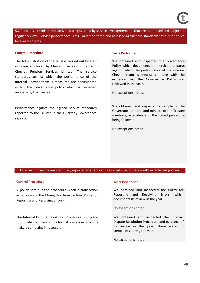5.2 Pensions administration activities are governed by service level agreements that are authorised and subject to regular review. Service performance is regularly monitored and assessed against the standards set out in service level agreements.

#### **Control Procedure Tests Performed**

The Administration of the Trust is carried out by staff who are employed by Cheviot Trustees Limited and Cheviot Pension Services Limited. The service standards against which the performance of the Internal Cheviot team is measured are documented within the Governance policy which is reviewed annually by the Trustee.

Performance against the agreed service standards reported to the Trustee in the Quarterly Governance reports.

We obtained and inspected the Governance Policy which documents the service standards against which the performance of the internal Cheviot team is measured, along with the evidence that the Governance Policy was reviewed in the year.

No exceptions noted.

We obtained and inspected a sample of the Governance reports and minutes of the Trustee meetings, as evidence of the stated procedure being followed.

No exceptions noted.

### 5.3 Transaction errors are identified, reported to clients and resolved in accordance with established policies

### **Control Procedure Tests Performed**

A policy sets out the procedure when a transaction error occurs in the Money Purchase Section (Policy for Reporting and Resolving Errors).

The Internal Dispute Resolution Procedure is in place to provide members with a formal process in which to make a complaint if necessary

We obtained and inspected the Policy for Reporting and Resolving Errors, which documents its review in the year.

No exceptions noted.

We obtained and inspected the Internal Dispute Resolution Procedure and evidence of its review in the year. There were no complaints during the year.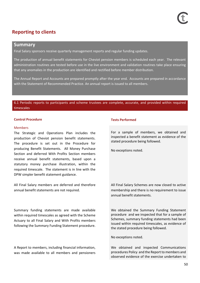# **Reporting to clients**

# **Summary**

Final Salary sponsors receive quarterly management reports and regular funding updates.

The production of annual benefit statements for Cheviot pension members is scheduled each year. The relevant administration routines are tested before use in the live environment and validation routines take place ensuring that any anomalies in the production are identified and rectified before member distribution.

The Annual Report and Accounts are prepared promptly after the year end. Accounts are prepared in accordance with the Statement of Recommended Practice. An annual report is issued to all members.

6.1 Periodic reports to participants and scheme trustees are complete, accurate, and provided within required timescales

#### **Control Procedure Control Procedure Control Procedure** Tests Performed

#### Members

The Strategic and Operations Plan includes the production of Cheviot pension benefit statements. The procedure is set out in the Procedure for producing Benefit Statements. All Money Purchase Section and deferred With Profits Section members receive annual benefit statements, based upon a statutory money purchase illustration, within the required timescale. The statement is in line with the DPW simpler benefit statement guidance.

All Final Salary members are deferred and therefore annual benefit statements are not required.

Summary funding statements are made available within required timescales as agreed with the Scheme Actuary to all Final Salary and With Profits members following the Summary Funding Statement procedure.

A Report to members, including financial information, was made available to all members and pensioners

For a sample of members, we obtained and inspected a benefit statement as evidence of the stated procedure being followed.

No exceptions noted.

All Final Salary Schemes are now closed to active membership and there is no requirement to issue annual benefit statements.

We obtained the Summary Funding Statement procedure and we inspected that for a sample of Schemes, summary funding statements had been issued within required timescales, as evidence of the stated procedure being followed.

No exceptions noted.

We obtained and inspected Communications procedures Policy and the Report to members and observed evidence of the exercise undertaken to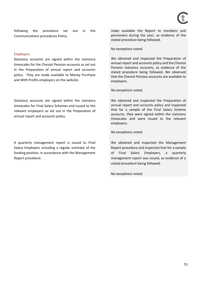following the procedure set out in the Communications procedures Policy.

#### Employers

Statutory accounts are signed within the statutory timescales for the Cheviot Pension accounts as set out in the Preparation of annual report and accounts policy. They are made available to Money Purchase and With Profits employers on the website.

Statutory accounts are signed within the statutory timescales for Final Salary Schemes and issued to the relevant employers as set out in the Preparation of annual report and accounts policy.

A quarterly management report is issued to Final Salary Employers including a regular estimate of the funding position, in accordance with the Management Report procedure.

make available the Report to members and pensioners during the year, as evidence of the stated procedure being followed.

No exceptions noted.

We obtained and inspected the Preparation of annual report and accounts policy and the Cheviot Pension statutory accounts, as evidence of the stated procedure being followed. We observed that the Cheviot Pension accounts are available to employers.

No exceptions noted.

We obtained and inspected the Preparation of annual report and accounts policy and inspected that for a sample of the Final Salary Scheme accounts, they were signed within the statutory timescales and were issued to the relevant employers.

No exceptions noted.

We obtained and inspected the Management Report procedure and inspected that for a sample of Final Salary Employers, a quarterly management report was issued, as evidence of a stated procedure being followed.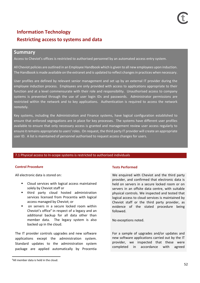# **Information Technology Restricting access to systems and data**

# **Summary**

Access to Cheviot's offices is restricted to authorised personnel by an automated access entry system.

All Cheviot policies are outlined in an Employee Handbook which is given to all new employees upon induction. The Handbook is made available on the extranet and is updated to reflect changes in practices when necessary.

User profiles are defined by relevant senior management and set up by an external IT provider during the employee induction process. Employees are only provided with access to applications appropriate to their function and at a level commensurate with their role and responsibility. Unauthorised access to company systems is prevented through the use of user login IDs and passwords. Administrator permissions are restricted within the network and to key applications. Authentication is required to access the network remotely.

Key systems, including the Administration and Finance systems, have logical configuration established to ensure that enforced segregations are in place for key processes. The systems have different user profiles available to ensure that only necessary access is granted and management review user access regularly to ensure it remains appropriate to users' roles. On request, the third party IT provider will create an appropriate user ID. A list is maintained of personnel authorised to request access changes for users.

### 7.1 Physical access to In-scope systems is restricted to authorised individuals

### **Control Procedure Tests Performed**

All electronic data is stored on:

- Cloud services with logical access maintained solely by Cheviot staff or
- third party cloud hosted administration services licensed from Procentia with logical access managed by Cheviot; or
- on servers in a secure locked room within Cheviot's office<sup>9</sup> in respect of a legacy and an additional backup for all data other than member data. The legacy system is also backed up in the cloud.

The IT provider controls upgrades and new software applications except the administration system. Standard updates to the administration system package are applied automatically by Procentia

We enquired with Cheviot and the third party provider, and confirmed that electronic data is held on servers in a secure locked room or on servers in an offsite data centre, with suitable physical controls. We inspected and tested that logical access to cloud services is maintained by Cheviot staff or the third party provider, as evidence of the stated procedure being followed.

No exceptions noted.

For a sample of upgrades and/or updates and new software applications carried out by the IT provider, we inspected that these were completed in accordance with agreed

<sup>9</sup>All member data is held in the cloud.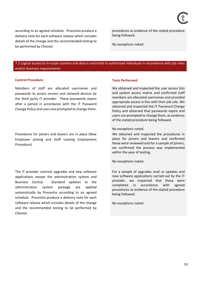according to an agreed schedule. Procentia produce a delivery note for each software release which includes details of the change and the recommended testing to be performed by Cheviot.

procedures as evidence of the stated procedure being followed.

No exceptions noted.

7.2 Logical access to In-scope systems and data is restricted to authorised individuals in accordance with job roles and/or business requirements

#### **Control Procedure Tests Performed**

Members of staff are allocated usernames and passwords to access servers and network devices by the third party IT provider. These passwords expire after a period in accordance with the IT Password Change Policy and users are prompted to change them.

Procedures for joiners and leavers are in place (New Employee Joining and Staff Leaving Employment Procedure).

The IT provider controls upgrades and new software applications except the administration system and Business Central. Standard updates to the administration system package are applied automatically by Procentia according to an agreed schedule. Procentia produce a delivery note for each software release which includes details of the change and the recommended testing to be performed by Cheviot.

We obtained and inspected the user access lists and system access matrix and confirmed staff members are allocated usernames and provided appropriate access in line with their job role. We obtained and inspected the IT Password Change Policy and observed that passwords expire and users are prompted to change them, as evidence of the stated procedure being followed.

#### No exceptions noted.

We obtained and inspected the procedures in place for joiners and leavers and confirmed these were reviewed and for a sample of joiners, we confirmed the process was implemented within the year of testing.

No exceptions noted.

For a sample of upgrades and/ or updates and new software applications carried out by the IT provider, we inspected that these were completed in accordance with agreed procedures as evidence of the stated procedure being followed.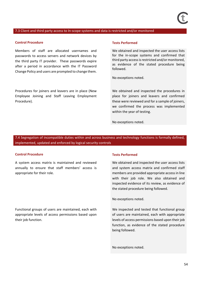#### 7.3 Client and third party access to In-scope systems and data is restricted and/or monitored

#### **Control Procedure Tests Performed**

Members of staff are allocated usernames and passwords to access servers and network devices by the third party IT provider. These passwords expire after a period in accordance with the IT Password Change Policy and users are prompted to change them.

Procedures for joiners and leavers are in place (New Employee Joining and Staff Leaving Employment Procedure).

We obtained and inspected the user access lists for the in-scope systems and confirmed that third party access is restricted and/or monitored, as evidence of the stated procedure being followed.

No exceptions noted.

We obtained and inspected the procedures in place for joiners and leavers and confirmed these were reviewed and for a sample of joiners, we confirmed the process was implemented within the year of testing.

No exceptions noted.

7.4 Segregation of incompatible duties within and across business and technology functions is formally defined, implemented, updated and enforced by logical security controls

#### **Control Procedure Tests Performed**

their job function.

A system access matrix is maintained and reviewed annually to ensure that staff members' access is appropriate for their role.

Functional groups of users are maintained, each with appropriate levels of access permissions based upon

We obtained and inspected the user access lists and system access matrix and confirmed staff members are provided appropriate access in line with their job role. We also obtained and inspected evidence of its review, as evidence of the stated procedure being followed.

No exceptions noted.

We inspected and tested that functional group of users are maintained, each with appropriate levels of access permissions based upon their job function, as evidence of the stated procedure being followed.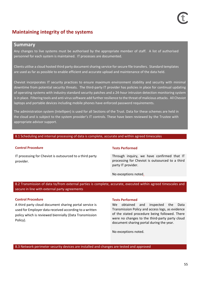# **Maintaining integrity of the systems**

# **Summary**

Any changes to live systems must be authorised by the appropriate member of staff. A list of authorised personnel for each system is maintained. IT processes are documented.

Clients utilise a cloud hosted third party document sharing service for secure file transfers. Standard templates are used as far as possible to enable efficient and accurate upload and maintenance of the data held.

Cheviot incorporates IT security practices to ensure maximum environment stability and security with minimal downtime from potential security threats. The third-party IT provider has policies in place for continual updating of operating systems with industry standard security patches and a 24-hour intrusion detection monitoring system is in place. Filtering tools and anti-virus software add further resilience to the threat of malicious attacks.All Cheviot laptops and portable devices including mobile phones have enforced password requirements.

The administration system (Intellipen) is used for all Sections of the Trust. Data for these schemes are held in the cloud and is subject to the system provider's IT controls. These have been reviewed by the Trustee with appropriate advisor support.

### 8.1 Scheduling and internal processing of data is complete, accurate and within agreed timescales

### **Control Procedure Tests Performed**

IT processing for Cheviot is outsourced to a third party provider.

Through inquiry, we have confirmed that IT processing for Cheviot is outsourced to a third party IT provider.

No exceptions noted.

8.2 Transmission of data to/from external parties is complete, accurate, executed within agreed timescales and secure in line with external party agreements

# **Control Procedure Tests Performed**

A third party cloud document sharing portal service is used for Employer data received according to a written policy which is reviewed biennially (Data Transmission Policy).

We obtained and inspected the Data Transmission Policy and access logs, as evidence of the stated procedure being followed. There were no changes to the third-party party cloud document sharing portal during the year.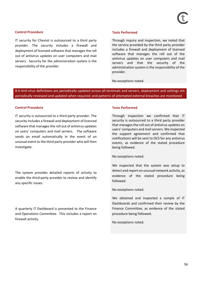## **Control Procedure Tests Performed**

IT security for Cheviot is outsourced to a third party provider. The security includes a firewall and deployment of licensed software that manages the roll out of antivirus updates on user computers and mail servers. Security for the administration system is the responsibility of the provider.

Through inquiry and inspection, we noted that the service provided by the third party provider includes a firewall and deployment of licensed software that manages the roll out of the antivirus updates on user computers and mail servers and that the security of the administration system is the responsibility of the provider.

No exceptions noted.

8.4 Anti-virus definitions are periodically updated across all terminals and servers, deployment and settings are periodically reviewed and updated when required; and patterns of attempted external breaches are monitored

### **Control Procedure Tests Performed**

IT security is outsourced to a third party provider. The security includes a firewall and deployment of licenced software that manages the roll out of antivirus updates on users' computers and mail servers. The software sends an email automatically in the event of an unusual event to the third party provider who will then investigate.

The system provides detailed reports of activity to enable the third-party provider to review and identify any specific issues.

A quarterly IT Dashboard is presented to the Finance and Operations Committee. This includes a report on firewall activity.

Through inspection we confirmed that IT security is outsourced to a third party provider that manages the roll out of antivirus updates on users' computers and mail servers. We inspected the support agreement and confirmed that notifications will be sent to OCS for any antivirus events, as evidence of the stated procedure being followed.

No exceptions noted.

We inspected that the system was setup to detect and report on unusual network activity, as evidence of the stated procedure being followed.

No exceptions noted.

We obtained and inspected a sample of IT Dashboards and confirmed their review by the Finance Committee, as evidence of the stated procedure being followed.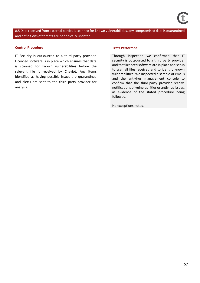8.5 Data received from external parties is scanned for known vulnerabilities, any compromised data is quarantined and definitions of threats are periodically updated

#### **Control Procedure Tests Performed**

IT Security is outsourced to a third party provider. Licenced software is in place which ensures that data is scanned for known vulnerabilities before the relevant file is received by Cheviot. Any items identified as having possible issues are quarantined and alerts are sent to the third party provider for analysis.

Through inspection we confirmed that IT security is outsourced to a third party provider and that licenced software are in place and setup to scan all files received and to identify known vulnerabilities. We inspected a sample of emails and the antivirus management console to confirm that the third-party provider receive notifications of vulnerabilities or antivirus issues, as evidence of the stated procedure being followed.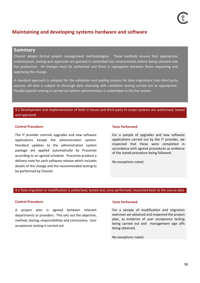# **Maintaining and developing systems hardware and software**

# **Summary**

Cheviot adopts formal project management methodologies. These methods ensure that appropriate authorisation, testing and approvals are granted in controlled test environments before being released into live production. All changes must be authorised and there is segregation between those requesting and approving the change.

A standard approach is adopted for the validation and loading process for data migrations from third party sources. All data is subject to thorough data cleansing with validation testing carried out as appropriate. Parallel payroll running is carried out before administration is undertaken in the live system.

# 9.1 Development and implementation of both in house and third party In-scope systems are authorised, tested and approved

## **Control Procedure Tests Performed**

The IT provider controls upgrades and new software applications except the administration system. Standard updates to the administration system package are applied automatically by Procentia according to an agreed schedule. Procentia produce a delivery note for each software release which includes details of the change and the recommended testing to be performed by Cheviot.

For a sample of upgrades and new software applications carried out by the IT provider, we inspected that these were completed in accordance with agreed procedures as evidence of the stated procedure being followed.

No exceptions noted.

### 9.2 Data migration or modification is authorised, tested and, once performed, reconciled back to the source data

### **Control Procedure Tests Performed**

A project plan is agreed between relevant departments or providers. This sets out the objective, method, testing, responsibilities and conclusions. User acceptance testing is carried out.

For a sample of modification and migration exercises we obtained and inspected the project plan, as evidence of user acceptance testing being carried out and management sign offs being obtained.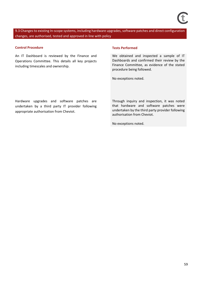9.3 Changes to existing In-scope systems, including hardware upgrades, software patches and direct configuration changes, are authorised, tested and approved in line with policy

### **Control Procedure Tests Performed**

An IT Dashboard is reviewed by the Finance and Operations Committee. This details all key projects including timescales and ownership.

We obtained and inspected a sample of IT Dashboards and confirmed their review by the Finance Committee, as evidence of the stated procedure being followed.

No exceptions noted.

Hardware upgrades and software patches are undertaken by a third party IT provider following appropriate authorisation from Cheviot.

Through inquiry and inspection, it was noted that hardware and software patches were undertaken by the third party provider following authorisation from Cheviot.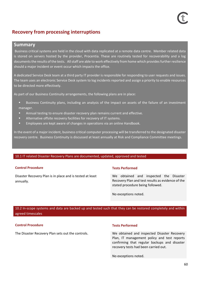# **Recovery from processing interruptions**

# **Summary**

Business critical systems are held in the cloud with data replicated at a remote data centre. Member related data is stored on servers hosted by the provider, Procentia. These are routinely tested for recoverability and a log documents the results of the tests. All staff are able to work effectively from home which provides further resilience should a major incident or event occur which impacts the office.

A dedicated Service Desk team at a third party IT provider is responsible for responding to user requests and issues. The team uses an electronic Service Desk system to log incidents reported and assign a priority to enable resources to be directed more effectively.

As part of our Business Continuity arrangements, the following plans are in place:

- Business Continuity plans, including an analysis of the impact on assets of the failure of an investment manager.
- Annual testing to ensure disaster recovery plan remains current and effective.
- Alternative offsite recovery facilities for recovery of IT systems.
- Employees are kept aware of changes in operations via an online Handbook.

In the event of a major incident, business critical computer processing will be transferred to the designated disaster recovery centre. Business Continuity is discussed at least annually at Risk and Compliance Committee meetings.

### 10.1 IT related Disaster Recovery Plans are documented, updated, approved and tested

### **Control Procedure Tests Performed**

Disaster Recovery Plan is in place and is tested at least annually.

We obtained and inspected the Disaster Recovery Plan and test results as evidence of the stated procedure being followed.

No exceptions noted.

# 10.2 In-scope systems and data are backed up and tested such that they can be restored completely and within agreed timescales

### **Control Procedure Tests Performed**

The Disaster Recovery Plan sets out the controls. We obtained and inspected Disaster Recovery Plan, IT management policy and test reports confirming that regular backups and disaster recovery tests had been carried out.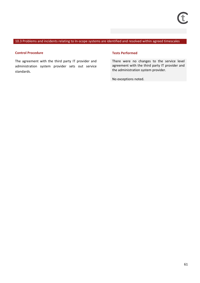## 10.3 Problems and incidents relating to In-scope systems are identified and resolved within agreed timescales

#### **Control Procedure Tests Performed**

The agreement with the third party IT provider and administration system provider sets out service standards.

There were no changes to the service level agreement with the third party IT provider and the administration system provider.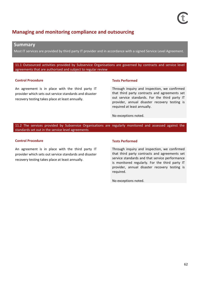# **Managing and monitoring compliance and outsourcing**

# **Summary**

Most IT services are provided by third party IT provider and in accordance with a signed Service Level Agreement.

11.1 Outsourced activities provided by Subservice Organisations are governed by contracts and service level agreements that are authorised and subject to regular review

## **Control Procedure Tests Performed**

An agreement is in place with the third party IT provider which sets out service standards and disaster recovery testing takes place at least annually.

Through inquiry and inspection, we confirmed that third party contracts and agreements set out service standards. For the third party IT provider, annual disaster recovery testing is required at least annually.

No exceptions noted.

11.2 The services provided by Subservice Organisations are regularly monitored and assessed against the standards set out in the service level agreements

## **Control Procedure Tests Performed**

An agreement is in place with the third party IT provider which sets out service standards and disaster recovery testing takes place at least annually.

Through inquiry and inspection, we confirmed that third party contracts and agreements set service standards and that service performance is monitored regularly. For the third party IT provider, annual disaster recovery testing is required.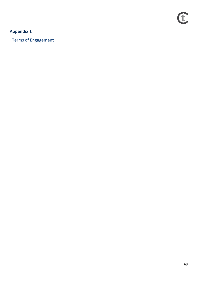# **Appendix 1**

Terms of Engagement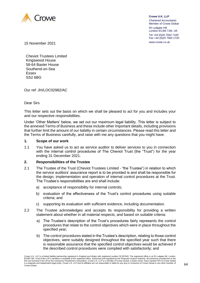

**Crowe U.K. LLP** *Chartered Accountants* Member of Crowe Global 55 Ludgate Hill London EC4M 7JW, UK Tel +44 (0)20 7842 7100 Fax +44 (0)20 7583 1720

www.crowe.co.uk 15 November 2021

Cheviot Trustees Limited Kingswood House 58-64 Baxter House Southend-on-Sea Essex SS2 6BG

Our ref: JH/LOC02982/AC

Dear Sirs

This letter sets out the basis on which we shall be pleased to act for you and includes your and our respective responsibilities.

Under 'Other Matters' below, we set out our maximum legal liability. This letter is subject to the annexed Terms of Business and these include other important details, including provisions that further limit the amount of our liability in certain circumstances. Please read this letter and the Terms of Business carefully, and raise with me any questions that you might have.

### **1. Scope of our work**

1.1 You have asked us to act as service auditor to deliver services to you in connection with the internal control procedures of The Cheviot Trust (the "Trust") for the year ending 31 December 2021.

# **2. Responsibilities of the Trustee**

- 2.1 The Trustee of the Trust (Cheviot Trustees Limited "the Trustee") in relation to which the service auditors' assurance report is to be provided is and shall be responsible for the design, implementation and operation of internal control procedures at the Trust. The Trustee's responsibilities are and shall include:
	- a) acceptance of responsibility for internal controls;
	- b) evaluation of the effectiveness of the Trust's control procedures using suitable criteria; and
	- c) supporting its evaluation with sufficient evidence, including documentation.
- 2.2 The Trustee acknowledges and accepts its responsibility for providing a written statement about whether in all material respects, and based on suitable criteria:
	- a) The Trustee's description of the Trust's procedures fairly represents the control procedures that relate to the control objectives which were in place throughout the specified year;
	- b) The control procedures stated in the Trustee's description, relating to those control objectives, were suitably designed throughout the specified year such that there is reasonable assurance that the specified control objectives would be achieved if the described control procedures were complied with satisfactorily; and

Crowe U.K. LLP is a limited liability partnership registered in England and Wales with registered number OC307043. The registered office is at 55 Ludgate Hill, London, EC4M 7JW. A list of the LLP's members is available at the registered office. Authorised and regulated by the Financial Conduct Authority. All insolvency practitioners in the firm are licensed in the UK by the Insolvency Practitioners Association. Crowe U.K. LLP is a member of Crowe Global, a Swiss verein. Each member firm of Crowe Global<br>is a separate and independent legal entity. Crowe U.K. L Crowe Global.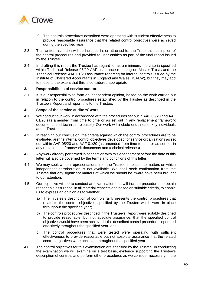

- c) The controls procedures described were operating with sufficient effectiveness to provide reasonable assurance that the related control objectives were achieved during the specified year.
- 2.3 This written assertion will be included in, or attached to, the Trustee's description of the control procedures and provided to user entities as part of the final report issued by the Trustee.
- 2.4 In drafting this report the Trustee has regard to, as a minimum, the criteria specified within Technical Release 05/20 AAF assurance reporting on Master Trusts and the Technical Release AAF 01/20 assurance reporting on internal controls issued by the Institute of Chartered Accountants in England and Wales (ICAEW), but they may add to these to the extent that this is considered appropriate.

### **3. Responsibilities of service auditors**

3.1 It is our responsibility to form an independent opinion, based on the work carried out in relation to the control procedures established by the Trustee as described in the Trustee's Report and report this to the Trustee.

## **4. Scope of the service auditors' work**

- 4.1 We conduct our work in accordance with the procedures set out in AAF 05/20 and AAF 01/20 (as amended from time to time or as set out in any replacement framework documents and technical releases). Our work will include enquiries of key individuals at the Trust.
- 4.2 In reaching our conclusion, the criteria against which the control procedures are to be evaluated are the internal control objectives developed for service organisations as set out within AAF 05/20 and AAF 01/20 (as amended from time to time or as set out in any replacement framework documents and technical releases).
- 4.3 Any work already performed in connection with this engagement before the date of this letter will also be governed by the terms and conditions of this letter.
- 4.4 We may seek written representations from the Trustee in relation to matters on which independent corroboration is not available. We shall seek confirmation from the Trustee that any significant matters of which we should be aware have been brought to our attention.
- 4.5 Our objective will be to conduct an examination that will include procedures to obtain reasonable assurance, in all material respects and based on suitable criteria, to enable us to express an opinion as to whether:
	- a) The Trustee's description of controls fairly presents the control procedures that relate to the control objectives specified by the Trustee which were in place throughout the specified year;
	- b) The controls procedures described in the Trustee's Report were suitably designed to provide reasonable, but not absolute assurance, that the specified control objectives would have been achieved if the described control procedures operated effectively throughout the specified year; and
	- c) The control procedures that were tested were operating with sufficient effectiveness to provide reasonable but not absolute assurance that the related control objectives were achieved throughout the specified year.
- 4.6 The control objectives for this examination are specified by the Trustee. In conducting the examination we will examine on a test basis, evidence supporting the Trustee's description of controls and perform other procedures as we consider necessary in the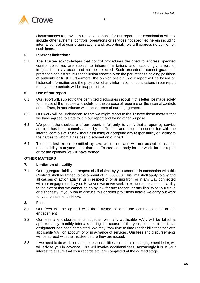

circumstances to provide a reasonable basis for our report. Our examination will not include other systems, controls, operations or services not specified herein including internal control at user organisations and, accordingly, we will express no opinion on such items.

# **5. Inherent limitations**

5.1 The Trustee acknowledges that control procedures designed to address specified control objectives are subject to inherent limitations and, accordingly, errors or irregularities may occur and not be detected. Such procedures cannot guarantee protection against fraudulent collusion especially on the part of those holding positions of authority or trust. Furthermore, the opinion set out in our report will be based on historical information and the projection of any information or conclusions in our report to any future periods will be inappropriate.

## **6. Use of our report**

- 6.1 Our report will, subject to the permitted disclosures set out in this letter, be made solely for the use of the Trustee and solely for the purpose of reporting on the internal controls of the Trust, in accordance with these terms of our engagement.
- 6.2 Our work will be undertaken so that we might report to the Trustee those matters that we have agreed to state to it in our report and for no other purpose.
- 6.3 We permit the disclosure of our report, in full only, to verify that a report by service auditors has been commissioned by the Trustee and issued in connection with the internal controls of Trust without assuming or accepting any responsibility or liability to the parties to whom it has been disclosed on our part.
- 6.4 To the fullest extent permitted by law, we do not and will not accept or assume responsibility to anyone other than the Trustee as a body for our work, for our report or for the opinions we will have formed.

# **OTHER MATTERS**

# **7. Limitation of liability**

7.1 Our aggregate liability in respect of all claims by you under or in connection with this Contract shall be limited to the amount of £3,000,000. This limit shall apply to any and all causes of action against us in respect of or arising from or in any way connected with our engagement by you. However, we never seek to exclude or restrict our liability to the extent that we cannot do so by law for any reason, or any liability for our fraud or dishonesty. If you wish to discuss this or other provisions before we carry out work for you, please let us know.

### **8. Fees**

- 8.1 Our fees will be agreed with the Trustee prior to the commencement of the engagement.
- 8.2 Our fees and disbursements, together with any applicable VAT, will be billed at approximately monthly intervals during the course of the year, or once a particular assignment has been completed. We may from time to time render bills together with applicable VAT on account of or in advance of services. Our fees and disbursements will be agreed with the Trustee before they are issued.
- 8.3 If we need to do work outside the responsibilities outlined in our engagement letter, we will advise you in advance. This will involve additional fees. Accordingly it is in your interest to ensure that your records etc. are completed at the agreed stage.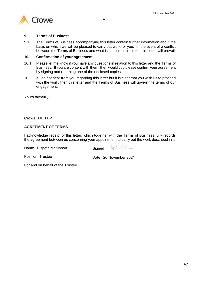



## **9. Terms of Business**

9.1 The Terms of Business accompanying this letter contain further information about the basis on which we will be pleased to carry out work for you. In the event of a conflict between the Terms of Business and what is set out in this letter, this letter will prevail.

## **10. Confirmation of your agreement**

- 10.1 Please let me know if you have any questions in relation to this letter and the Terms of Business. If you are content with them, then would you please confirm your agreement by signing and returning one of the enclosed copies.
- 10.2 If I do not hear from you regarding this letter but it is clear that you wish us to proceed with the work, then this letter and the Terms of Business will govern the terms of our engagement.

Yours faithfully

# **Crowe U.K. LLP**

# **AGREEMENT OF TERMS**

I acknowledge receipt of this letter, which together with the Terms of Business fully records the agreement between us concerning your appointment to carry out the work described in it.

Name Elspeth McKinnon Signed

End 2 week

Position Trustee Date 26 November 2021

For and on behalf of the Trustee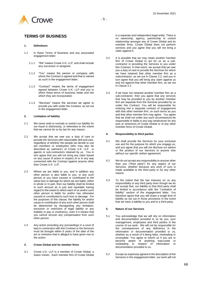

# **TERMS OF BUSINESS**

#### **1. Definitions**

- 1.1 In these Terms of Business and any associated engagement letter:
	- 1.1.1 "We" means Crowe U.K. LLP, and shall include any successor or assignee;
	- 1.1.2 "You" means the person or company with whom the Contract is agreed and that is named as such in the engagement letter;
	- 1.1.3 "Contract" means the terms of engagement agreed between Crowe U.K. LLP and you to which these terms of business relate and into which they are incorporated;
	- 1.1.4 "Services" means the services we agree to provide you with under the Contract, as set out in the engagement letter.

#### **2. Limitation of liability**

- 2.1 We never seek to exclude or restrict our liability for our fraud or dishonesty, or otherwise to the extent that we cannot do so by law for any reason.
- 2.2 We accept that we owe you a duty of care to provide the Services with reasonable skill and care, regardless of whether the people we decide to use are members or employees (who may also be described as 'partners') of Crowe U.K. LLP or agents or sub-contractors retained by us. You in turn agree that you will not bring any claim based on any cause of action in respect of or in any way connected with the Contract against anyone other than Crowe U.K. LLP.
- 2.3 Where we are liable to you, and in addition any other person is also liable to you, or any such person or you have caused or contributed to the same loss or damage for which we are liable, either in whole or in part, then our liability shall be limited to such amount as is just and equitable having regard to the extent to which each of us and/or such other person is liable for and/or has otherwise caused or contributed to such loss or damage. For the purposes of this clause, the liability for and/or cause or contribution of any such other person shall be determined by disregarding any limitation, exclusion or restriction of legal liability or any inability to pay or insolvency, even if it means that you cannot recover any compensation from such other person.
- 2.4 Any action (including any proceedings in a court of law) in connection with this Contract or the Services must be brought within 6 years of the date of the act or omission that is alleged to have given rise to the action.

#### **3. Crowe Global and its member firms**

3.1 Crowe U.K. LLP is a member of Crowe Global, a Swiss Verein. Each member firm of Crowe Global is a separate and independent legal entity. There is no ownership, agency, partnership or control relationship amongst any of Crowe Global and its member firms. Crowe Global does not perform services and you agree that you will not bring a claim against it.

- 3.2 It is possible that we may retain another member firm of Crowe Global to act for us as a subcontractor in providing the Services to you under this Contract. In that event, we accept that we owe you a duty of care to provide the Services for which we have retained that other member firm as a subcontractor, as set out in Clause 2.2, and you in turn agree that you will bring any claim against us and not against that other member firm, as set out in Clause 2.2.
- 3.3 If we have not retained another member firm as a sub-contractor, then you agree that any services that may be provided to you by another member firm are separate from the Services provided by us under this Contract. You will be responsible for entering into a separate contract of engagement with that other member firm, on such terms as you and that other member firm may agree. You agree that we shall not under any such circumstances be responsible or liable in any way whatsoever for any acts or omissions of Crowe Global or of any other member firms of Crowe Global.

#### **4. Responsibility to third parties**

- 4.1 We shall provide the Services for your exclusive use and for the purpose for which you engage us, and you agree that you will not disclose our advice or the product of our Services to anyone else without our specific written agreement.
- 4.2 We do not accept any responsibility to anyone other than you ("third party") for any aspect of our Services, whether because any work of ours is made available to the third party or for any other reason.
- 4.3 To the extent that the law imposes on us any responsibility to any third party even though we do not accept that, our liability to that third party shall be limited in accordance with the "Limitation of liability" section of the engagement letter. You therefore agree that you will share a single limit of liability as set out in those provisions in the event that we have a liability to you and to a third party.

#### **5. Nature of our Services**

- 5.1 You acknowledge that we will rely on information and documentation provided to us by you, your management, employees and third parties in the course of our work. We will not be responsible for the consequences of any deficiency in the information or documentation provided to us, whether as a result of it being false, misleading or incomplete. You agree to inform us if you are or become aware of anything inaccurate or misleading in respect of information or documentation provided to us.
- 5.2 Except as expressly agreed in the description of the Services in the engagement letter, our work will not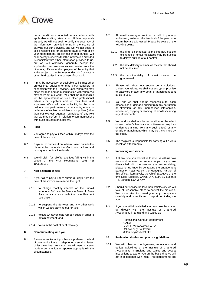

be an audit as conducted in accordance with applicable auditing standards. Unless expressly agreed, we will not seek to verify the accuracy of the information provided to us in the course of carrying out our Services, and we will not seek to or be responsible for detecting fraud by you or by your management, employees or third parties. We shall satisfy ourselves that the information provided is consistent with other information provided to us, but we will otherwise generally accept the explanation and assurances we receive from the directors, officers and employees of the entity that is the subject of the Services under this Contract or other third parties in the course of our work.

5.3 It may be necessary or desirable to instruct other professional advisers or third party suppliers in connection with the Services, upon whom we may place reliance and/or in conjunction with whom we may carry out our work. You shall be responsible for the appointment of such other professional advisers or suppliers and for their fees and expenses. We shall have no liability for the nondelivery, non-performance or any acts, errors or omissions of such other advisers or suppliers (other than our express agents), regardless of any role that we may perform in relation to communications with such advisers or suppliers.

#### **6. Fees**

- 6.1 You agree to pay our fees within 30 days from the date of the invoice.
- 6.2 Payment of our fees from a bank based outside the UK must be made via transfer to our bankers and must quote our invoice details.
- 6.3 We will claim for relief for any fees falling within the scope of the VAT Regulations 1995 (SI 1995/2518).

#### **7. Non-payment of fees**

- 7.1 If you fail to pay our fees within 30 days from the date of the invoice we reserve the right:
	- 7.1.1 to charge monthly interest on the unpaid amount at 5% over the Barclays Bank plc Base Rate in accordance with the Late Payment Legislation;
	- 7.1.2 to suspend the Services and any other work which we are carrying out for you;
	- 7.1.3 to take whatever legal remedy exists in order to obtain payment; and
	- 7.1.4 to claim the cost of debt recovery.

#### **8. Communicating with you**

8.1 Please let us know if you have a preferred method of communication e.g. telephone or email or letter. Unless we hear from you, we will use whatever mode of communication appears appropriate in the circumstances.

- 8.2 All email messages sent to us will, if properly addressed, arrive on the terminal of the person to whom they are addressed. Please be aware of the following points:
	- 8.2.1 the firm is connected to the internet, but the exchange of email messages may be subject to delays outside of our control;
	- 8.2.2 the safe delivery of email via the internet should not be assumed;
	- 8.2.3 the confidentiality of email cannot be guaranteed.
- 8.3 Please ask about our secure portal solutions. Unless you ask us, we shall not encrypt or promise to password-protect any email or attachment sent by us to you.
- 8.4 You and we shall not be responsible for each other's loss or damage arising from any corruption or alteration, or any unauthorised interception, redirection, copying or reading, of emails including any attachments.
- 8.5 You and we shall not be responsible for the effect on each other's hardware or software (or any loss or damage arising from any such effect) of any emails or attachment which may be transmitted by the other.
- 8.6 The recipient is responsible for carrying out a virus check on attachments.

#### **9. Improving our service**

- 9.1 If at any time you would like to discuss with us how we could improve our service to you or you are dissatisfied with the service you are receiving, please let us know by contacting the engagement partner or Peter Varley, the Managing Partner of this office. Alternatively, the Chief Executive of the firm Nigel Bostock, Crowe U.K. LLP, 55 Ludgate Hill, London, EC4M 7JW.
- 9.2 Should our service be less than satisfactory we will take all reasonable steps to correct the situation. We undertake to investigate any complaints carefully and promptly and to report our findings to you.
- 9.3 If you are still dissatisfied you may take the matter up directly with the Institute of Chartered Accountants in England and Wales at:

Professional Conduct Department ICAEW Level 1, Metropolitan House 321 Avebury Boulevard Milton Keynes MK9 2FZ

#### **10. Professional rules and practice guidelines**

10.1 We will observe the bye-laws, regulations and ethical guidelines of the Institute of Chartered Accountants in England and Wales and accept instructions to act for you on the basis that we will act in accordance with them. The requirements are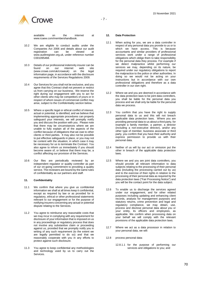



available on the internet at www.icaew.com/membershandbook.

- 10.2 We are eligible to conduct audits under the Companies Act 2006 and details about our audit registration can be viewed at www.auditregister.org.uk, under reference number C001095468.
- 10.3 Details of our professional indemnity insurer can be<br>found on our internet web site internet web<br>weuk) on the (www.crowe.com/uk/croweuk) on the legal information page, in accordance with the disclosure requirements of the Services Regulations 2009.
- 10.4 Our Services for you shall not be exclusive, and you agree that this Contract shall not prevent or restrict us from carrying on our business. We reserve the right during our engagement with you to act for other clients who may be competitors of yours or in respect of whom issues of commercial conflict may arise, subject to the Confidentiality section below.
- 10.5 Where a specific legal or ethical conflict of interest, actual or potential, is identified, and we believe that implementing appropriate procedures can properly safeguard your interests, we will promptly notify you and discuss the position with you. Please note that there may be circumstances where we are unable to fully explain all of the aspects of the conflict because of obligations that we owe to other clients or third parties. It may also not be possible to put effective safeguards in place, or you may not be content with the situation, in which case it may be necessary for us to terminate the Contract. You also agree to inform us immediately if you should become aware of, or believe that there may be, a conflict affecting our provision of the Services.
- 10.6 Our files are periodically reviewed by an independent regulator or quality controller as part of our on-going commitment to providing a quality service. The reviewers are bound by the same rules of confidentiality as our partners and staff.

#### **11. Confidentiality**

- 11.1 We confirm that where you give us confidential information we shall at all times keep it confidential, except as required by law or as provided for in regulatory, ethical or other professional statements relevant to our engagement or for the purpose of notifying insurers concerning any actual or potential dispute relating to the Services.
- 11.2 You agree to reimburse any reasonable costs that we may incur in complying with any requirement for disclosure of your information that is imposed on us in any proceedings or regulatory process that does not involve any substantive claim or proceeding against us, provided that we promptly notify you in writing of any such requirement (to the extent we are legally permitted to do so) and that we reasonably cooperate with you in any efforts to protect against such disclosure.
- 11.3 You agree to keep confidential any methodologies and technology used by us to carry out the Services.

#### **12. Data Protection**

- <span id="page-69-0"></span>12.1 When acting for you, we are a data controller in respect of any personal data you provide to us or to which we have access. This is because accountants and similar providers of professional services work under a range of professional obligations which oblige them to take responsibility for the personal data they process. For example if we detect malpractice whilst performing our services we may, depending on its nature, be required under our regulatory obligations to report the malpractice to the police or other authorities. In doing so we would not be acting on your instructions but in accordance with our own professional obligations and therefore as a data controller in our own right.
- 12.2 Where we and you are deemed in accordance with the data protection laws to be joint data controllers, you shall be liable for the personal data you process and we shall only be liable for the personal data we process.
- 12.3 You confirm that you have the right to supply personal data to us and this will not breach applicable data protection laws. Where you are providing personal data to us about a third party, for example a family member, a partner, a director (including a non-executive director), and/or any other type of member, business associate or third party, you confirm that you have their authority and express permission to provide us with their personal data.
- 12.4 Neither of us will by our act or omission put the other in breach of the applicable data protection laws.
- 12.5 Where we and you are joint data controllers, you should provide all relevant information to data subjects relating to the processing of their personal data (including the processing carried out by us) and to the exercise of their rights in relation to the processing of their personal data as required by the data protection laws ("Fair Processing Notice") and you will be the contact point for the data subject.
- 12.6 To enable us to discharge the services agreed under our engagement, and for other related purposes including updating and enhancing client records, analysis for management purposes and statutory returns, crime prevention and legal and regulatory compliance, we may obtain, use, process and disclose personal data about you or your entity, its officers and employees, as applicable. We confirm when processing data on your behalf we will comply with the relevant provisions of the applicable data protection laws.
- 12.7 Where we act as a data processor in relation to your personal data, we will:
- 12.8 process personal data:
	- 12.8.1.1 for the purpose of performing our services and obligations to you; and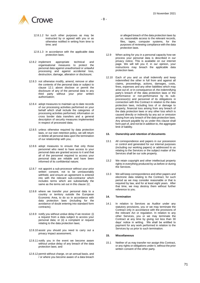

- 12.8.1.2 for such other purposes as may be instructed by or agreed with you or as otherwise notified in writing from time to time; and
- 12.8.1.3 in accordance with the applicable data protection laws;
- 12.8.2 implement appropriate technical and organisational measures to protect the personal data against unauthorised or unlawful processing and against accidental loss, destruction, damage, alteration or disclosure;
- 12.8.3 not otherwise modify, amend, remove or alter the contents of the personal data or subject to clause [12.1](#page-69-0) above disclose or permit the disclosure of any of the personal data to any third party without your prior written authorisation;
- 12.8.4 adopt measures to maintain up to date records of our processing activities performed on your behalf which shall include the categories of processing activities performed, information on cross border data transfers and a general description of security measures implemented in respect of processed data;
- 12.8.5 unless otherwise required by data protection laws, or our own retention policy, we will return or delete all personal data upon the termination of our relationship with you;
- 12.8.6 adopt measures to ensure that only those personnel who need to have access to your personal data are granted access to it and that all of the personnel required to access your personal data are reliable and have been informed of its confidential nature;
- 12.8.7 not appoint a sub-processor without your prior written consent, not to be unreasonably withheld, and ensure an agreement is entered into with the relevant sub-contractor which includes terms which are substantially the same as the terms set out in this clause 12;
- 12.8.8 where we transfer your personal data to a country or territory outside the European Economic Area, to do so in accordance with data protection laws (including for the avoidance of doubt entering into standard form contracts);
- 12.8.9 notify you without undue delay if we receive: (i) a request from a data subject to access your personal data; or (ii) a complaint or request relating to the data protection laws;
- 12.8.10 assist you should you need to carry out a privacy impact assessment;
- 12.8.11 notify you in the event we become aware without undue delay of any breach of the data protection laws; and
- 12.8.12 permit without charge, on an annual basis, and / or where you become aware of a data breach

or alleged breach of the data protection laws by us, reasonable access to the relevant records, files, tapes, computer systems, for the purposes of reviewing compliance with the data protection laws.

- 12.9 When acting for you in a personal capacity how we process your personal data is described in our privacy notice. This is available on our internet page. We will tell you if, in our opinion, your instructions may breach the applicable data protection laws.
- 12.10 Each of you and us shall indemnify and keep indemnified the other in full from and against all claims, proceedings, actions, damages, costs, fines, expenses and any other liabilities which may arise out of, or in consequence of, the indemnifying party's breach of the data protection laws or the performance or non-performance by its subprocessor(s) and personnel of its obligations in connection with this Contract in relation to the data protection laws, including loss of or damage to property, financial loss arising from any breach of the data protection laws or any other loss which is caused directly or indirectly by any act or omission arising from any breach of the data protection laws. Any amount payable by us under this clause shall form part of, and not be in addition to, the aggregate limit of liability.

#### **13. Ownership and retention of documents**

- 13.1 All correspondence and papers in our possession or control and generated for our internal purposes (including our working papers) or addressed to us relating to the Services or the subject matter of the Services shall be our sole property.
- 13.2 We retain copyright and other intellectual property rights in everything produced by us before or during the Services.
- 13.3 We will keep correspondence and other papers and electronic data relating to the Contract, for such period as we may consider reasonable or that is required by law, and for at least eight years. After that time, we may destroy them without further reference to you.

#### **14. Termination**

14.1 In relation to Services as Auditor under any statutory provisions, you or we may terminate the Contract only in accordance with the provisions of the relevant Act or regulation. In relation to any other Services, you or we may terminate the Contract at any time by giving not less than 30 days' notice in writing. We shall be entitled to payment for any work performed in relation to the Services by us prior to such termination.

#### **15. Miscellaneous**

15.1 Neither of us may transfer nor assign this Contract, or any rights or obligations under it, without the prior written consent of the other party.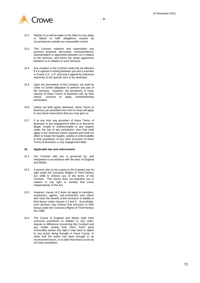

- 15.2 Neither of us will be liable to the other for any delay or failure to fulfil obligations caused by circumstances outside our reasonable control.
- 15.3 This Contract replaces and supersedes any previous proposal, discussion, correspondence, representation or agreement between us in relation to the Services, and forms the whole agreement between us in relation to such Services.
- 15.4 Any variation to the Contract shall only be effective if it is agreed in writing between you and a member in Crowe U.K. LLP, and only if agreed by reference expressly to the specific term to be amended.
- 15.5 Upon the termination of this Contract, we shall be under no further obligation to perform any part of the Services. However, the provisions of many clauses of these Terms of Business will, by their nature, continue to apply notwithstanding termination.
- 15.6 Unless we both agree otherwise, these Terms of Business (as amended from time to time) will apply to any future instructions that you may give us.
- 15.7 If at any time any provision of these Terms of Business or any engagement letter is or becomes illegal, invalid or unenforceable in any respect under the law of any jurisdiction, then that shall apply to the minimum extent required and shall not affect or impair the legality, validity or enforceability in that jurisdiction of any other provision of these Terms of Business or any engagement letter.

#### **16. Applicable law and enforcement**

- 16.1 Our Contract with you is governed by, and interpreted in accordance with the laws of England and Wales .
- 16.2 A person who is not a party to the Contract has no right under the Contracts (Rights of Third Parties) Act 1999 to enforce any of the terms of the Contract. This clause does not prejudice you in relation to any right or remedy that exists independently of the Act.
- 16.3 However, clause 1 6.2 does not apply to members, employees, agents, sub -contractors and others who have the benefit of the exclusion of liability in their favour under clauses 2.2 and 3. Accordingly, such persons may enforce that exclusion in their favour under the Contracts (Rights of Third Parties) Act 1999.
- 16.4 The Courts of England and Wales shall have exclusive jurisdiction in relation to any claim, dispute or difference concerning this Contract and any matter arising from them. Each party irrevocably waives any right it may have to object to any action being brought in those Courts, to claim that the action has been brought in an inconvenient forum, or to claim that those Courts do not have jurisdiction.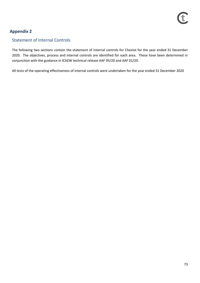## **Appendix 2**

### Statement of Internal Controls

The following two sections contain the statement of internal controls for Cheviot for the year ended 31 December 2020. The objectives, process and internal controls are identified for each area. These have been determined in conjunction with the guidance in ICAEW technical release AAF 05/20 and AAF 01/20.

All tests of the operating effectiveness of internal controls were undertaken for the year ended 31 December 2020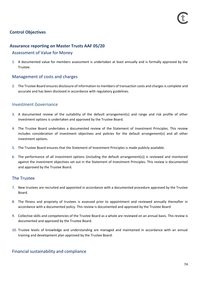### **Control Objectives**

### **Assurance reporting on Master Trusts AAF 05/20**

### Assessment of Value for Money

1. A documented value for members assessment is undertaken at least annually and is formally approved by the Trustee.

### Management of costs and charges

2. The Trustee Board ensures disclosure of information to members of transaction costs and charges is complete and accurate and has been disclosed in accordance with regulatory guidelines.

### Investment Governance

- 3. A documented review of the suitability of the default arrangement(s) and range and risk profile of other investment options is undertaken and approved by the Trustee Board.
- 4. The Trustee Board undertakes a documented review of the Statement of Investment Principles. This review includes consideration of investment objectives and policies for the default arrangement(s) and all other investment options.
- 5. The Trustee Board ensures that the Statement of Investment Principles is made publicly available.
- 6. The performance of all investment options (including the default arrangement(s)) is reviewed and monitored against the investment objectives set out in the Statement of Investment Principles. This review is documented and approved by the Trustee Board.

### The Trustee

- 7. New trustees are recruited and appointed in accordance with a documented procedure approved by the Trustee Board.
- 8. The fitness and propriety of trustees is assessed prior to appointment and reviewed annually thereafter in accordance with a documented policy. This review is documented and approved by the Trustee Board
- 9. Collective skills and competencies of the Trustee Board as a whole are reviewed on an annual basis. This review is documented and approved by the Trustee Board.
- 10. Trustee levels of knowledge and understanding are managed and maintained in accordance with an annual training and development plan approved by the Trustee Board.

### Financial sustainability and compliance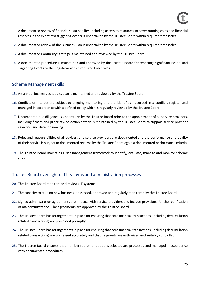- 11. A documented review of financial sustainability (including access to resources to cover running costs and financial reserves in the event of a triggering event) is undertaken by the Trustee Board within required timescales.
- 12. A documented review of the Business Plan is undertaken by the Trustee Board within required timescales
- 13. A documented Continuity Strategy is maintained and reviewed by the Trustee Board.
- 14. A documented procedure is maintained and approved by the Trustee Board for reporting Significant Events and Triggering Events to the Regulator within required timescales.

### Scheme Management skills

- 15. An annual business schedule/plan is maintained and reviewed by the Trustee Board.
- 16. Conflicts of interest are subject to ongoing monitoring and are identified, recorded in a conflicts register and managed in accordance with a defined policy which is regularly reviewed by the Trustee Board
- 17. Documented due diligence is undertaken by the Trustee Board prior to the appointment of all service providers, including fitness and propriety. Selection criteria is maintained by the Trustee Board to support service provider selection and decision making.
- 18. Roles and responsibilities of all advisers and service providers are documented and the performance and quality of their service is subject to documented reviews by the Trustee Board against documented performance criteria.
- 19. The Trustee Board maintains a risk management framework to identify, evaluate, manage and monitor scheme risks.

### Trustee Board oversight of IT systems and administration processes

- 20. The Trustee Board monitors and reviews IT systems.
- 21. The capacity to take on new business is assessed, approved and regularly monitored by the Trustee Board.
- 22. Signed administration agreements are in place with service providers and include provisions for the rectification of maladministration. The agreements are approved by the Trustee Board.
- 23. The Trustee Board has arrangements in place for ensuring that core financial transactions (including decumulation related transactions) are processed promptly
- 24. The Trustee Board has arrangements in place for ensuring that core financial transactions (including decumulation related transactions) are processed accurately and that payments are authorised and suitably controlled.
- 25. The Trustee Board ensures that member retirement options selected are processed and managed in accordance with documented procedures.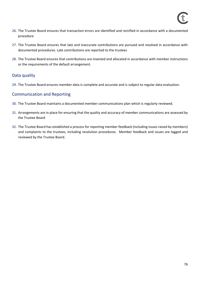- 26. The Trustee Board ensures that transaction errors are identified and rectified in accordance with a documented procedure
- 27. The Trustee Board ensures that late and inaccurate contributions are pursued and resolved in accordance with documented procedures. Late contributions are reported to the trustees
- 28. The Trustee Board ensures that contributions are invested and allocated in accordance with member instructions or the requirements of the default arrangement.

### Data quality

29. The Trustee Board ensures member data is complete and accurate and is subject to regular data evaluation.

### Communication and Reporting

- 30. The Trustee Board maintains a documented member communications plan which is regularly reviewed.
- 31. Arrangements are in place for ensuring that the quality and accuracy of member communications are assessed by the Trustee Board
- 32. The Trustee Board has established a process for reporting member feedback (including issues raised by members) and complaints to the trustees, including resolution procedures. Member feedback and issues are logged and reviewed by the Trustee Board.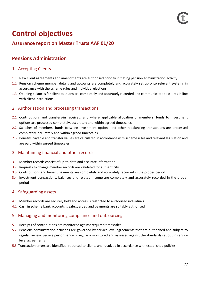# **Control objectives**

# **Assurance report on Master Trusts AAF 01/20**

# **Pensions Administration**

### 1. Accepting Clients

- 1.1 New client agreements and amendments are authorised prior to initiating pension administration activity
- 1.2 Pension scheme member details and accounts are completely and accurately set up onto relevant systems in accordance with the scheme rules and individual elections
- 1.3 Opening balances for client take-ons are completely and accurately recorded and communicated to clients in line with client instructions

### 2. Authorisation and processing transactions

- 2.1 Contributions and transfers-in received, and where applicable allocation of members' funds to investment options are processed completely, accurately and within agreed timescales
- 2.2 Switches of members' funds between investment options and other rebalancing transactions are processed completely, accurately and within agreed timescales
- 2.3 Benefits payable and transfer values are calculated in accordance with scheme rules and relevant legislation and are paid within agreed timescales

### 3. Maintaining financial and other records

- 3.1 Member records consist of up-to-date and accurate information
- 3.2 Requests to change member records are validated for authenticity
- 3.3 Contributions and benefit payments are completely and accurately recorded in the proper period
- 3.4 Investment transactions, balances and related income are completely and accurately recorded in the proper period

### 4. Safeguarding assets

- 4.1 Member records are securely held and access is restricted to authorised individuals
- 4.2 Cash in scheme bank accounts is safeguarded and payments are suitably authorised

### 5. Managing and monitoring compliance and outsourcing

- 5.1 Receipts of contributions are monitored against required timescales
- 5.2 Pensions administration activities are governed by service level agreements that are authorised and subject to regular review. Service performance is regularly monitored and assessed against the standards set out in service level agreements
- 5.5 Transaction errors are identified, reported to clients and resolved in accordance with established policies